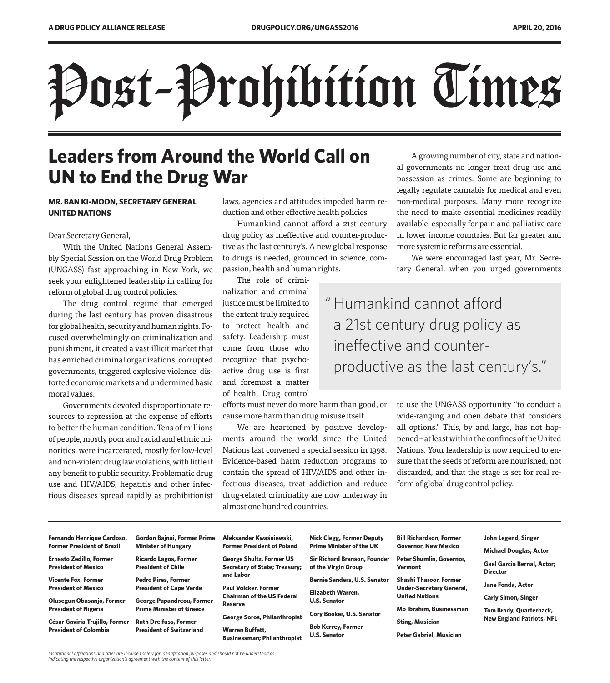# Post-Prohibition Times

# **Leaders from Around the World Call on UN to End the Drug War**

# **MR. BAN KI-MOON, SECRETARY GENERAL UNITED NATIONS**

Dear Secretary General,

With the United Nations General Assembly Special Session on the World Drug Problem (UNGASS) fast approaching in New York, we seek your enlightened leadership in calling for reform of global drug control policies.

The drug control regime that emerged during the last century has proven disastrous for global health, security and human rights. Focused overwhelmingly on criminalization and punishment, it created a vast illicit market that has enriched criminal organizations, corrupted governments, triggered explosive violence, distorted economic markets and undermined basic moral values.

Governments devoted disproportionate resources to repression at the expense of efforts to better the human condition. Tens of millions of people, mostly poor and racial and ethnic minorities, were incarcerated, mostly for low-level and non-violent drug law violations, with little if any benefit to public security. Problematic drug use and HIV/AIDS, hepatitis and other infectious diseases spread rapidly as prohibitionist

laws, agencies and attitudes impeded harm reduction and other effective health policies.

Humankind cannot afford a 21st century drug policy as ineffective and counter-productive as the last century's. A new global response to drugs is needed, grounded in science, compassion, health and human rights.

The role of crimi-

nalization and criminal justice must be limited to the extent truly required to protect health and safety. Leadership must come from those who recognize that psychoactive drug use is first and foremost a matter of health. Drug control

efforts must never do more harm than good, or cause more harm than drug misuse itself.

We are heartened by positive developments around the world since the United Nations last convened a special session in 1998. Evidence-based harm reduction programs to contain the spread of HIV/AIDS and other infectious diseases, treat addiction and reduce drug-related criminality are now underway in almost one hundred countries.

A growing number of city, state and national governments no longer treat drug use and possession as crimes. Some are beginning to legally regulate cannabis for medical and even non-medical purposes. Many more recognize the need to make essential medicines readily available, especially for pain and palliative care in lower income countries. But far greater and more systemic reforms are essential.

We were encouraged last year, Mr. Secretary General, when you urged governments

 " Humankind cannot afford a 21st century drug policy as ineffective and counterproductive as the last century's."

> to use the UNGASS opportunity "to conduct a wide-ranging and open debate that considers all options." This, by and large, has not happened – at least within the confines of the United Nations. Your leadership is now required to ensure that the seeds of reform are nourished, not discarded, and that the stage is set for real reform of global drug control policy.

| Fernando Henrique Cardoso,        | <b>Gordon Bajnai, Former Prime</b> | Aleksander Kwaśniewski,                             | <b>Nick Clegg, Former Deputy</b>         | <b>Bill Richardson, Former</b>  | John Legend, Singer                                  |
|-----------------------------------|------------------------------------|-----------------------------------------------------|------------------------------------------|---------------------------------|------------------------------------------------------|
| <b>Former President of Brazil</b> | <b>Minister of Hungary</b>         | <b>Former President of Poland</b>                   | <b>Prime Minister of the UK</b>          | <b>Governor, New Mexico</b>     | <b>Michael Douglas, Actor</b>                        |
| <b>Ernesto Zedillo, Former</b>    | <b>Ricardo Lagos, Former</b>       | <b>George Shultz, Former US</b>                     | <b>Sir Richard Branson, Founder</b>      | <b>Peter Shumlin, Governor,</b> |                                                      |
| <b>President of Mexico</b>        | <b>President of Chile</b>          | <b>Secretary of State; Treasury;</b>                | of the Virgin Group                      | <b>Vermont</b>                  | <b>Gael Garcia Bernal, Actor;</b><br><b>Director</b> |
| Vicente Fox, Former               | <b>Pedro Pires, Former</b>         | and Labor                                           | <b>Bernie Sanders, U.S. Senator</b>      | <b>Shashi Tharoor, Former</b>   |                                                      |
| <b>President of Mexico</b>        | <b>President of Cape Verde</b>     | <b>Paul Volcker, Former</b>                         |                                          | <b>Under-Secretary General,</b> | Jane Fonda, Actor                                    |
| Olusegun Obasanjo, Former         | <b>George Papandreou, Former</b>   | <b>Chairman of the US Federal</b><br><b>Reserve</b> | Elizabeth Warren,<br><b>U.S. Senator</b> | <b>United Nations</b>           | <b>Carly Simon, Singer</b>                           |
| <b>President of Nigeria</b>       | <b>Prime Minister of Greece</b>    |                                                     |                                          | Mo Ibrahim, Businessman         | <b>Tom Brady, Quarterback,</b>                       |
| César Gaviria Trujillo, Former    | <b>Ruth Dreifuss, Former</b>       | <b>George Soros, Philanthropist</b>                 | Cory Booker, U.S. Senator                |                                 | <b>New England Patriots, NFL</b>                     |
| <b>President of Colombia</b>      | <b>President of Switzerland</b>    | <b>Warren Buffett,</b>                              | <b>Bob Kerrey, Former</b>                | <b>Sting, Musician</b>          |                                                      |
|                                   |                                    | <b>Businessman: Philanthropist</b>                  | <b>U.S. Senator</b>                      | Peter Gabriel, Musician         |                                                      |

*Institutional affiliations and titles are included solely for identification purposes and should not be understood as indicating the respective organization's agreement with the content of this letter.*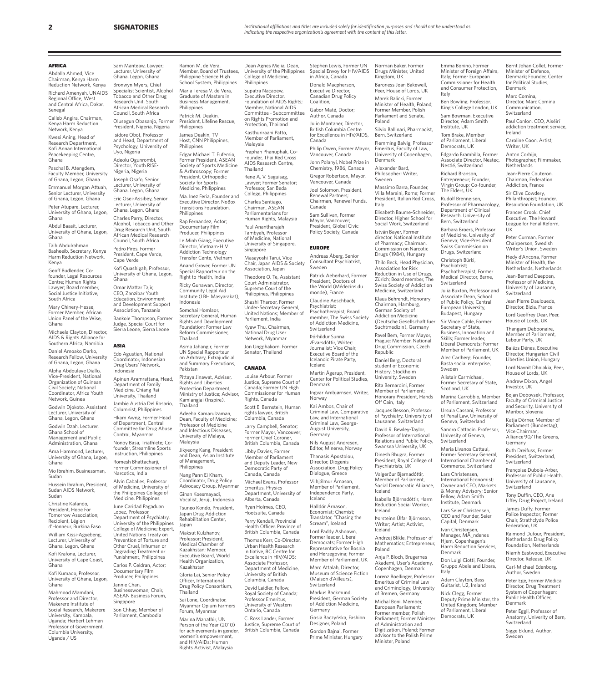Norman Baker, Former Drugs Minister, United Kingdom, UK Baroness Joan Bakewell, Peer, House of Lords, UK Marek Balicki, Former Minister of Health, Poland; Former Member, Polish Parliament and Senate,

Emma Bonino, Former Minister of Foreign Affairs, Italy; Former European Commissioner for Health and Consumer Protection,

Bernt Johan Collet, Former Minister of Defence, Denmark; Founder, Center for Political Studies, Denmark Marc Comina, Director, Marc Comina Communication, **Switzerland** 

Paul Conlon, CEO, Aiséirí addiction treatment service,

Anton Corbijn, Photographer; Filmmaker,

Caroline Coon, Artist; Writer, UK

Peter Curman, Former Chairperson, Swedish Writer's Union, Sweden Hedy d'Ancona, Former Minister of Health, the Netherlands, Netherlands Jean-Bernad Daeppen, Professor of Medicine, University of Lausanne, Switzerland Jean Pierre Daulouede, Director, Bizia, France Lord Geoffrey Dear, Peer, House of Lords, UK Thangam Debbonaire, Member of Parliament, Labour Party, UK Balázs Dénes, Executive Director, Hungarian Civil Liberties Union, Hungary Lord Navnit Dholakia, Peer, House of Lords, UK Andrew Dixon, Angel Investor, UK

Bojan Dobovsek, Professor, Faculty of Criminal Justice and Security, University of Maribor, Slovenia Katja Dörner, Member of Parliament (Bundestag); Vice Chairman, Alliance 90/The Greens,

Peter Eggli, Professor of Anatomy, Univerity of Bern,

**Switzerland** Sigge Eklund, Author, Sweden

Germany Ruth Dreifuss, Former President, Switzerland, Switzerland Françoise Dubois-Arber, Professor of Public Health, University of Lausanne, **Switzerland** Tony Duffin, CEO, Ana Liffey Drug Project, Ireland James Duffy, Former Police Inspector; Former Chair, Strathclyde Police Federation, UK Raimond Dufour, President, Netherlands Drug Policy Foundation, Netherlands Niamh Eastwood, Executive Director, Release, UK Carl-Michael Edenborg, Author, Sweden Peter Ege, Former Medical Director, Drug Treatment System of Copenhagen; Public Health Officer, Denmark

Ireland

**Netherlands** Jean-Pierre Couteron, Chairman, Federation Addiction, France Sir Clive Cowdery, Philanthropist; Founder, Resolution Foundation, UK Frances Crook, Chief Executive, The Howard League for Penal Reform,

UK

Ben Bowling, Professor, King's College London, UK Sam Bowman, Executive Director, Adam Smith Institute, UK Tom Brake, Member of Parliament, Liberal Democrats, UK Edgardo Brambilla, Former Associate Director, Nestec, Nestlé, Switzerland Richard Branson, Entrepreneur; Founder, Virgin Group; Co-founder, The Elders, UK Rudolf Brenneisen, Professor of Pharmacology, Department of Clinical Research, University of Bern, Switzerland Barbara Broers, Professor of Medicine, Univesity of Geneva; Vice-President, Swiss Commission on Drugs, Switzerland Christoph Bürki, Psychiatrist; Psychotherapist; Former Medical Director, Berne, Switzerland

Julia Buxton, Professor and Associate Dean, School of Public Policy, Central European University, Budapest, Hungary Sir Vince Cable, Former Secretary of State, Business, Innovation and Skills; Former leader, Liberal Democrats; Former Member of Parliament, UK Alec Carlberg, Founder, Basta social enterprise,

Marina Carrobbio, Member of Parliament, Switzerland Ursula Cassani, Professor of Penal Law, University of Geneva, Switzerland Sandro Cattacin, Professor, Univesity of Geneva, Switzerland Maria Livanos Cattaui, Former Secretary General, International Chamber of Commerce, Switzerland Lars Christensen, International Economist; Owner and CEO, Markets & Money Advisory; Senior Fellow, Adam Smith Institute, Denmark Lars Seier Christensen, CEO and Founder, Seier Capital, Denmark Ivan Christensen, wan emistensen,<br>Manager, MÃ\_ndenes Hjem, Copenhagen's Harm Reduction Services,

Sweden Alistair Carmichael, Former Secretary of State, Scotland, UK

Denmark

Italy

Don Luigi Ciotti, Founder, Gruppo Abele and Libera,

Adam Clayton, Bass Guitarist, U2, Ireland Nick Clegg, Former Deputy Prime Minister, the United Kingdom; Member of Parliament, Liberal Democrats, UK

Italy

Silvio Ballinari, Pharmacist, Bern, Switzerland Flemming Balvig, Professor Emeritus, Faculty of Law, University of Copenhagen,

Massimo Barra, Founder, Villa Maraini, Rome; Former President, Italian Red Cross,

Elisabeth Baume-Schneider, Director, Higher School for Social Work, Switzerland István Bayer, Former director, National Institute of Pharmacy; Chairman, Commission on Narcotic Drugs (1984), Hungary Thilo Beck, Head Physician, Association for Risk Reduction in Use of Drugs, Zürich; Board member, The Swiss Society of Addiction Medicine, Switzerland Klaus Behrendt, Honorary Chairman, Hamburg, German Society of Addiction Medicine (Deutsche Gesellschaft fuer Suchtmedizin), Germany Pavel Bem, Former Mayor, Prague; Member, National Drug Commission, Czech

Poland

Denmark Alexander Bard, Philosopher; Writer, Sweden

Italy

Republic Daniel Berg, Doctoral student of Economic History, Stockholm University, Sweden Rita Bernardini, Former Member of Parliament; Honorary President, Hands Off Cain, Italy Jacques Besson, Professor of Psychiatry, University of Lausanne, Switzerland David R. Bewley-Taylor, Professor of International Relations and Public Policy, Swansea University, UK Dinesh Bhugra, Former President, Royal College of Psychiatrists, UK Valgerður Bjarnadóttir, Member of Parliament Social Democratic Alliance,

Iceland

Iceland

Iceland

Poland

Ísabella Björnsdóttir, Harm Reduction Social Worker,

Þorsteinn Úlfar Björnsson, Writer; Artist; Activist,

Andrzej Blikle, Professor of Mathematics; Entrepreneur,

Anja P. Bloch, Brugernes Akademi, User's Academy, Copenhagen, Denmark Lorenz Boellinger, Professor Emeritus of Criminal Law and Criminology, University of Bremen, Germany Michal Boni, Member, European Parliament; Former member, Polish Parliament; Former Minister of Administration and Digitization, Poland; Former advisor to the Polish Prime Minister, Poland

### **AFRICA**

Abdalla Ahmed, Vice Chairman, Kenya Harm Reduction Network, Kenya

Richard Amenyah, UNAIDS Regional Office, West and Central Africa, Dakar, Senegal

Calleb Angira, Chairman, Kenya Harm Reduction Network, Kenya

Kwesi Aning, Head of Research Department, Kofi Annan International Peacekeeping Centre, Ghana

Paschal B. Atengdem, Faculty Member, University of Ghana, Legon, Ghana

Emmanuel Morgan Attuah, Senior Lecturer, University of Ghana, Legon, Ghana

Peter Atupare, Lecturer, University of Ghana, Legon, Ghana

Abdul Baasit, Lecturer, University of Ghana, Legon, Ghana

Taib Abdulrahman Basheeib, Secretary, Kenya Harm Reduction Network, Kenya

Geoff Budlender, Cofounder, Legal Resources Centre; Human Rights Lawyer; Board member, Social Justice Initiative, South Africa

Mary Chinery-Hesse, Former Member, African Union Panel of the Wise, Ghana

Michaela Clayton, Director, AIDS & Rights Alliance for Southern Africa, Namibia

Daniel Amoako Darko, Research Fellow, University

of Ghana, Legon, Ghana Alpha Abdoulaye Diallo,

Vice-President, National Organization of Guinean Civil Society; National Coordinator, Africa Youth Network, Guinea

Godwin Djokoto, Assistant Lecturer, University of Ghana, Legon, Ghana

Godwin Dzah, Lecturer, Ghana School of Management and Public

Administration, Ghana Ama Hammond, Lecturer,

University of Ghana, Legon, Ghana Mo Ibrahim, Businessman,

Sudan Hussein Ibrahim, President,

Sudan AIDS Network, Sudan

Christine Kafando, President, Hope For Tomorrow Association; Recipient, Légion

d'Honneur, Burkina Faso William Kissi-Agyebeng, Lecturer, University of Ghana, Legon, Ghana

Kofi Krafona, Lecturer, University of Cape Coast, Ghana

Kofi Kumado, Professor, University of Ghana, Legon, Ghana

Mahmood Mamdani, Professor and Director, Makerere Institute of Social Research, Makerer University, Kampala, Uganda; Herbert Lehman Professor of Government, Columbia University,

Uganda / US

Sam Manteaw, Lawyer; Lecturer, University of Ghana, Legon, Ghana Bronwyn Myers, Chief Specialist Scientist, Alcohol Tobacco and Other Drug Research Unit, South African Medical Research Council, South Africa Olusegun Obasanjo, Former President, Nigeria, Nigeria Isidore Obot, Professor and Head, Department of

Psychology, University of Uyo, Nigeria Adeolu Ogunrombi, Director, Youth RISE-Nigeria, Nigeria Joseph Osafo, Senior Lecturer, University of Ghana, Legon, Ghana Eric Osei-Assibey, Senior Lecturer, University of Ghana, Legon, Ghana Charles Parry, Director, Alcohol, Tobacco and Other Drug Research Unit, South African Medical Research Council, South Africa Pedro Pires, Former President, Cape Verde, Cape Verde

Kofi Quashigah, Professor, University of Ghana, Legon, Ghana Omar Mattar Tajir, CEO, Zanzibar Youth Education, Environment and Development Support Association, Tanzania

Bankole Thompson, Former Judge, Special Court for Sierra Leone, Sierra Leone

### ASIA

Edo Agustian, National Coordinator, Indonesian Drug Users' Network, Indonesia Apinun Aramrattana, Head, Department of Family Medicine, Chiang Rai University, Thailand Jambie Austria Del Rosario, Columnist, Philippines

Hkam Awng, Former Head of Department, Central Committee for Drug Abuse Control, Myanmar

Nonoy Basa, Triathlete; Cofounder, Streamline Sports Instruction, Philippines Romesh Bhattacharji, Former Commissioner of Narcotics, India

Alvin Caballes, Professor of Medicine, University of the Philippines College of Medicine, Philippines

June Caridad Pagaduan Lopez, Professor, Department of Psychiatry, University of the Philippines College of Medicine; Expert, United Nations Treaty on Prevention of Torture and Other Cruel, Inhuman or Degrading Treatment or Punishment, Philippines

Carlos P. Celdran, Actor; Documentary Film Producer, Philippines

Jannie Chan, Businesswoman; Chair, ASEAN Business Forum, Singapore Son Chhay, Member of

Parliament, Cambodia

Member, Board of Trustees, Philippine Science High School System, Philippines Maria Teresa V. de Vera, Graduate of Masters in Business Management, Philippines Patrick M. Deakin,

Ramon M. de Vera,

President, Lifeline Rescue, Philippines James Deakin, TV

Host, CNN Philippines, Philippines Edgar Michael T. Eufemio, Former President, ASEAN Society of Sports Medicine & Arthroscopy; Former President, Orthopedic Society for Sports

Medicine, Philippines Ma. Inez Feria, Founder and Executive Director, NoBox Transitions Foundation, Philippines

Rap Fernandez, Actor; Documentary Film Producer, Philippines Le Minh Giang, Executive

Director, Vietnam-HIV Addiction Technology Transfer Cente, Vietnam Anand Grover, Former UN

Special Rapporteur on the Right to Health, India Ricky Gunawan, Director, Community Legal Aid Institute (LBH Masyarakat), Indonesia Somchai Homlaor,

Secretary General, Human Rights and Development Foundation; Former Law Reform Commissioner, **Thailand** 

Asma Jahangir, Former UN Special Rapporteur on Arbitrary, Extrajudicial and Summary Executions, Pakistan

Pittaya Jinawat, Adviser, Rights and Liberties Protection Department, Ministry of Justice; Advisor, Kamlangjai (Inspire), **Thailand** 

Dean, Faculty of Medicine; Professor of Medicine and Infectious Diseases, University of Malaya, Malaysia Jikyeong Kang, President and Dean, Asian Institute

Adeeba Kamarulzaman,

of Management, Philippines Nang Pann Ei Kham, Coordinator, Drug Policy

Advocacy Group, Myanmar Ginan Koesmayadi, Vocalist, Jeruji, Indonesia Tsuneo Kondo, President,

Japan Drug Addiction Rehabilitation Center, Japan

Maksut Kulzhanov, Professor; President, Medical Chamber of Kazakhstan; Member, Executive Board, World Health Organization, Kazakhstan

Gloria Lai, Senior Policy Officer, International Drug Policy Consortium, Thailand

Sai Lone, Coordinator Myanmar Opium Farmers Forum, Myanmar

Marina Mahathir, UN Person of the Year (2010) for achievements in gender, women's empowerment and HIV/AIDs; Human

Dean Agnes Mejia, Dean, University of the Philippines College of Medicine, Philippines

Supatra Nacapew, Executive Director, Foundation of AIDS Rights; Member, National AIDS Committee - Subcommittee on Rights Promotion and Protection, Thailand

Kasthuriraani Patto, Member of Parliament, Malaysia Praphan Phanuphak, Co-Founder, Thai Red Cross

AIDS Research Centre, Thailand Rene A. V. Saguisag,

Lawyer; Former Senator; Professor, San Beda College, Philippines

Charles Santiago, Chairman, ASEAN Parliamentarians for Human Rights, Malaysia

Paul Anantharajah Tambyah, Professor of Medicine, National University of Singapore,

**Singapore** Masayoshi Tarui, Vice Chair, Japan AIDS & Society Association, Japan Theodore O. Te, Assistant Court Administrator,

Philippines, Philippines Shashi Tharoor, Former Under-Secretary General, United Nations; Member of Parliament, India

National Drug User Network, Myanmar Jon Ungphakorn, Former Senator, Thailand

### CANADA

Louise Arbour, Former Rights, Canada Columbia, Canada Larry Campbell, Senator;

Libby Davies, Former Canada, Canada

Department, University of Alberta, Canada

Ryan Holmes, CEO, Hootsuite, Canada

Perry Kendall, Provincial Health Officer, Province of British Columbia, Canada Thomas Kerr, Co-Director, Urban Health Research Initiative, BC Centre for Excellence in HIV/AIDS; Associate Professor, Department of Medicine, University of British Columbia, Canada David Laidler, Fellow, Royal Society of Canada;

Professor Emeritus, University of Western Ontario, Canada C. Ross Lander, Forme

Stephen Lewis, Former UN Special Envoy for HIV/AIDS in Africa, Canada Donald Macpherson,

Executive Director Canadian Drug Policy **Coalition** Gabor Maté, Doctor; Author, Canada Julio Montaner, Director,

British Columbia Centre for Excellence in HIV/AIDS, Canada Philip Owen, Former Mayor, Vancouver, Canada

Renewal Partners;

the World (Médecins du monde), France Claudine Aeschbach, Psychiatrist; Psychotherapist; Board member, The Swiss Society of Addiction Medicine, Switzerland Þórhildur Sunna Ævarsdóttir, Writer; Journalist; Vice Chair, Executive Board of the Icelandic Pirate Party,

Martin Ågerup, President, Center for Political Studies,

Ingvar Ambjørnsen, Writer,

Iceland

Denmark

Norway Kai Ambos, Chair of Criminal Law, Comparative Law, and International Criminal Law, George-August University, Germany Nils August Andresen, Editor, Minerva, Norway Thanasis Apostolou, Director, Diogenis Association, Drug Policy Dialogue, Greece Vilhjálmur Árnason, Member of Parliament, Independence Party, Iceland Halldór Árnason, Economist; Chemist; Translator, "Chasing the Scream", Iceland Lord Paddy Ashdown, Former leader, Liberal Democrats; Former High Representative for Bosnia and Herzegovina: Former Member of Parliament, UK Marc Attalah, Director, Museum of Science Fiction (Maison d'Ailleurs),

Switzerland Markus Backmund, President, German Society of Addiction Medicine, Germany

Gosia Baczyńska, Fashion Designer, Poland Gordon Bajnai, Former Prime Minister, Hungary

John Polanyi, Nobel Prize in Chemistry, 1986, Canada Gregor Robertson, Mayor, Vancouver, Canada

Joel Solomon, President,

Chairman, Renewal Funds, Canada Sam Sullivan, Former Mayor, Vancouver; President, Global Civic

Policy Society, Canada

EUROPE Andreas Åberg, Senior Consultant Psychiatrist, Sweden Patrick Aeberhard, Former President, Doctors of

Supreme Court of the

Kyaw Thu, Chairman,

Justice, Supreme Court of Canada; Former UN High Commissioner for Human Scott E. Bernstein, Human rights lawyer, British

Former Mayor, Vancouver; Former Chief Coroner, British Columbia, Canada

Member of Parliament and Deputy Leader, New Democratic Party of

Michael Evans, Professor Emeritus, Physics

Justice, Supreme Court of British Columbia, Canada

Rights Activist, Malaysia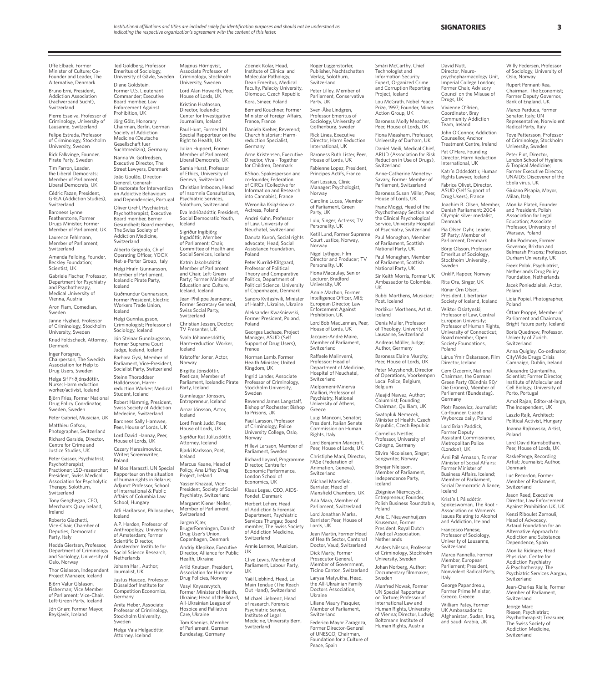Uffe Elbaek, Former Minister of Culture; Co-Founder and Leader, The Alternative, Denmark

Bruno Erni, President, Addiction Association (Fachverband Sucht), Switzerland

Pierre Esseiva, Professor of Criminology, University of Lausanne, Switzerland

Felipe Estrada, Professor of Criminology, Stockholm University, Sweden Rick Falkvinge, Founder,

Pirate Party, Sweden Tim Farron, Leader, the Liberal Democrats; Member of Parliament,

Liberal Democrats, UK Cédric Fazan, President,<br>GREA (Addiction Studies),

Switzerland Baroness Lynne Featherstone, Former Drugs Minister; Former

Member of Parliament, UK Laurence Fehlmann,

Member of Parliament, Switzerland

Amanda Feilding, Founder, Beckley Foundation; Scientist, UK

Gabriele Fischer, Professor, Department for Psychiatry and Psychotherapy,

Medical University of Vienna, Austria

Aron Flam, Comedian, Sweden

Janne Flyghed, Professor of Criminology, Stockholm University, Sweden

Knud Foldschack, Attorney, Denmark Inger Forsgren,

Chairperson, The Swedish Association for Help to Drug Users, Sweden

Helga Sif Friðjónsdóttir, Nurse; Harm reduction worker/activist, Iceland

Björn Fries, Former National Drug Policy Coordinator, Sweden, Sweden

Peter Gabriel, Musician, UK Matthieu Gafsou,

Photographer, Switzerland Richard Garside, Director, Centre for Crime and

Justice Studies, UK Peter Gasser, Psychiatrist; Psychotherapist; Practioner; LSD-researcher; President, Swiss Medical Association for Psycholytic Therapy. Solothurn,

Switzerland Tony Geoghegan, CEO,

Merchants Quay Ireland, Ireland

Roberto Giachetti, Vice-Chair, Chamber of Deputies, Democratic Party, Italy

Hedda Giertsen, Professor, Department of Criminology and Sociology, University of

Oslo, Norway Thor Gislason, Independent Project Manager, Iceland

Björn Valur Gíslason, Fisherman; Vice Member of Parliament; Vice-Chair, Left-Green Party, Iceland

Jón Gnarr, Former Mayor, Reykjavik, Iceland

Ted Goldberg, Professor Emeritus of Sociology, University of Gävle, Sweden Diane Goldstein, Former U.S. Lieutenant Commander; Executive Board member, Law Enforcement Against Prohibition, UK Jörg Gölz, Honorary Chairman, Berlin, German Society of Addiction Medicine (Deutsche Gesellschaft fuer Suchtmedizin), Germany Nanna W. Gotfredsen, Executive Director, The Street Lawyers, Denmark João Goulão, Director-General, General-

Directorate for Intervention on Addictive Behaviours and Dependencies, Portugal Oliver Grehl, Psychiatrist; Psychotherapist; Executive Board member, Berner

Gesundheit; Board member, The Swiss Society of Addiction Medicine, Switzerland Alberto Grignolo, Chief Operating Officer, YOOX Net-a-Porter Group, Italy Helgi Hrafn Gunnarsson,

Member of Parliament, Icelandic Pirate Party, Iceland Guðmundur Gunnarsson, Former President, Electric

Workers Trade Union, Iceland Helgi Gunnlaugsson, Criminologist; Professor of Sociology, Iceland Jón Steinar Gunnlaugsson,

Former Supreme Court Judge, Iceland, Iceland Barbara Gysi, Member of Parliament, Vice-President Socialist Party, Switzerland Steinn Thoroddsen Halldórsson, Harmreduction Worker; Medical Student, Iceland Robert Hämmig, President,

Swiss Society of Addiction Medecine, Switzerland Baroness Sally Hamwee, Peer, House of Lords, UK

Lord David Hannay, Peer, House of Lords, UK Cezary Harasimowicz, Writer; Screenwriter, Poland

Miklos Haraszti, UN Special Rapporteur on the situation of human rights in Belarus; Adjunct Professor, School of International & Public Affairs of Columbia Law School, Hungary Atli Harðarson, Philosopher, Iceland A.P. Hardon, Professor of

Anthropology, University of Amsterdam; Former Scientific Director, Amsterdam Institute for Social Science Research, **Netherlands** Johann Hari, Author;

Journalist, UK Justus Haucap, Professor,

Düsseldorf Institute for Competition Economics, Germany Anita Heber, Associate Professor of Criminology, Stockholm University,

Sweden Helga Vala Helgadóttir, Attorney, Iceland

Magnus Hörnqvist, Associate Professor of Criminology, Stockholm University, Sweden Lord Alan Howarth, Peer, House of Lords, UK Kristinn Hrafnsson, Director, Icelandic Center for Investigative

Journalism, Iceland Paul Hunt, Former UN Special Rapporteur on the Right to Health, UK

Julian Huppert, Former Member of Parliament, Liberal Democrats, UK Samia Hurst, Professor of Ethics, University of

Geneva, Switzerland Christian Imboden, Head of Insomnia Consultation, Psychiatric Services,

Solothurn, Switzerland Eva Indriðadóttir, President, Social Democratic Youth, Iceland

Sigríður Ingibjörg Ingadóttir, Member of Parliament; Chair, Committee of Health and Social Services, Iceland

Katrín Jakobsdóttir, Member of Parliament and Chair, Left-Green Party; Former Minister of Education and Culture, Iceland, Iceland

Jean-Philippe Jeannerat, Former Secretary General, Swiss Social Party, Switzerland Christian Jessen, Doctor; TV Presenter, UK Svala Jóhannesdóttir,

Harm-reduction Worker, Kristoffer Joner, Actor, France

Norway Birgitta Jónsdóttir, Poetican; Member of

Parliament, Icelandic Pirate Party, Iceland Gunnlaugur Jónsson, Entrepreneur, Iceland

Arnar Jónsson, Actor, Iceland Lord Frank Judd, Peer,

House of Lords, UK Sigríður Rut Júlíusdóttir, Attorney, Iceland

Bjarki Karlsson, Poet, Iceland Marcus Keane, Head of

Iceland

Policy, Ana Liffey Drug Project, Ireland Yasser Khazaal, Vice-President, Society of Social

Psychiatry, Switzerland Margaret Kiener Nellen, Member of Parliament, Switzerland

Jørgen Kjær, BrugerForeningen, Danish Drug User's Union,

Copenhagen, Denmark Andriy Klepikov, Executive Director, Alliance for Public Health, Ukraine

Arild Knutsen, President, Association for Humane Drug Policies, Norway

Vasyl Knyazevytch, Former Minister of Health, Ukraine; Head of the Board, All-Ukrainian League of Hospice and Palliative Care, Ukraine

Tom Koenigs, Member of Parliament, German Bundestag, Germany

Zdenek Kolar, Head, Institute of Clinical and Molecular Pathology; Dean Emeritus, Medical Faculty, Palacky University, Olomouc, Czech Republic Kora, Singer, Poland Bernard Kouchner, Former

Minister of Foreign Affairs, France, France Daniela Kreher, Reverend;

Church historian; Harmreduction Specialist, Germany Arne Kristensen, Executive Director, Viva – Together

for Children, Denmark KShoo, Spokesperson and co-founder, Federation of CIRCs (Collective for Information and Research into Cannabis), France

Weronika Książkiewicz, Actress, Poland

André Kuhn, Professor of Law, University of Neuchatel, Switzerland Danuta Kuroń, Social rights

advocate; Head, Social Assistance Foundation, Poland

Peter Kurrild-Klitgaard, Professor of Political Theory and Comparative Politics, Department of Political Science, University of Copenhagen, Denmark

Sandro Kvitashvili, Minister of Health, Ukraine, Ukraine Aleksander Kwaśniewski, Former President, Poland, Poland

Georges Lachaze, Project Manager, ASUD (Self Support of Drug Users),

Norman Lamb, Forme Health Minister, United Kingdom, UK

Ingrid Lander, Associate ofessor of Criminology, Stockholm University, Sweden

Reverend James Langstaff, Bishop of Rochester; Bishop to Prisons, UK

Paul Larsson, Professor of Criminology, Police University College, Oslo, Norway

Hillevi Larsson, Member of Parliament, Sweden Richard Layard, Programme Director, Centre for Economic Performance, London School of

Economics, UK Klaus Legau, CEO, AIDS-Fondet, Denmark

Herbert Leherr, Head of Addiction & Forensic Department, Psychiatric Services Thurgau; Board member, The Swiss Society of Addiction Medicine, Switzerland

Annie Lennox, Musician, UK

Clive Lewis, Member of Parliament, Labour Party, UK

Yaël Liebkind, Head, La Main Tendue (The Reach Out Hand), Switzerland Michael Liebrenz, Head of research, Forensic Psychiatric Service, Institute of Legal Medicine, University Bern, Switzerland

Roger Liggenstorfer, Publisher, Nachtschatten Verlag, Solothurn, Switzerland Peter Lilley, Member of Parliament, Conservative Party, UK Sven-Åke Lindgren, Professor Emeritus of Sociology, University of Gothenburg, Sweden

Rick Lines, Executive Director, Harm Reduction International, UK Baroness Ruth Lister, Peer, House of Lords, UK Fabienne Lopez, President, Principes Actifs, France Kari Lossius, Clinic

Manager; Psychologist, Norway Caroline Lucas, Member of Parliament, Green Party, UK

Lulu, Singer; Actress; TV Personality, UK Ketil Lund, Former Supreme Court Justice, Norway, Norway

Nigel Lythgoe, Film Director and Producer; TV Personality, UK Fiona Macaulay, Senior Lecturer, Bradford University, UK

Annie Machon, Former Intelligence Officer, MI5; European Director, Law Enforcement Against Prohibition, UK

Lord Bob MacLennan, Peer, House of Lords, UK Jacques-André Maire, Member of Parliament, Switzerland

Raffaele Malinverni, Professor; Head of Department of Medicine, Hospital of Neuchatel, Switzerland

Melpomeni-Minerva Malliori, Professor of Psychiatry, National University of Athens, Greece

Luigi Manconi, Senator; President, Italian Senate Commission on Human Rights, Italy Lord Benjamin Mancroft,

Peer, House of Lords, UK Christiphe Mani, Director, FASe (Federation of Animation, Geneva),

Switzerland Michael Mansfield, Barrister, Head of Mansfield Chambers, UK Ada Mara, Member of Parliament, Switzerland

Lord Jonathan Marks, Barrister; Peer, House of Lords, UK Jean Martin, Former Head of Health Sector, Cantonal

Doctor, Vaud, Switzerland Dick Marty, Former Prosecutor General, Member of Government, Ticino Canton, Switzerland Larysa Matyukha, Head, the All-Ukrainian Family Doctors Association, Ukraine

Liliane Maury Pasquier, Member of Parliament, Switzerland Federico Mayor Zaragoza, Former Director-General of UNESCO; Chairman, Foundation for a Culture of

Peace, Spain

Technologist and Information Security Expert, Organized Crime and Corruption Reporting Project, Iceland Lou McGrath, Nobel Peace Prize, 1997; Founder, Mines Action Group, UK Baroness Molly Meacher, Peer, House of Lords, UK Fiona Measham, Professor, University of Durham, UK Daniel Meili, Medical Chief, ARUD (Association for Risk Reduction in Use of Drugs), Switzerland Anne-Catherine Menetey-Savary, Former Member of Parliament, Switzerland Baroness Susan Miller, Peer, House of Lords, UK

Smári McCarthy, Chief

David Nutt, Director, Neuropsychopharmacology Unit, Imperial College London; Former Chair, Advisory Council on the Misuse of

Drugs, UK Vivienne O'Brien, Coordinator, Bray Community Addiction Team, Ireland John O'Connor, Addiction Counsellor, Anchor Treatment Centre, Ireland Pat O'Hare, Founding Director, Harm Reduction International, UK Katrín Oddsdóttir, Human Rights Lawyer, Iceland Fabrice Olivet, Director, ASUD (Self Support of Drug Users), France Joachim B. Olsen, Member, Danish Parliament; 2004 Olympic silver medalist,

Denmark

Pia Olsen Dyhr, Leader, SF Party; Member of Parliament, Denmark Börje Olsson, Professor Emeritus of Sociology, Stockholm University , Sweden

OnklP, Rapper, Norway Rita Ora, Singer, UK Rúnar Örn Olsen, President, Libertarian Society of Iceland, Iceland Wiktor Osiatynski, Professor of Law, Central European University; Professor of Human Rights, University of Connecticut; Board member, Open Society Foundations, Poland

Poland

Poland

Poland

Denmark Luc Recordon, Former Member of Parliament, Switzerland Jason Reed, Executive Director, Law Enforcemer Against Prohibition UK, UK Kenzi Riboulet Zemouli, Head of Advocacy, Artaud Foundation for an Alternative Approach to Addiction and Substance Dependence, Spain Monika Ridinger, Head Physician, Centre for Addiction Psychiatry & Psychotherapy, The Psychiatric Services Aargau,

Switzerland

Jean-Charles Rielle, Former Member of Parliament, Switzerland Jeorge Marc Riesen, Psychiatrist; Psychotherapist; Treasurer, The Swiss Society of Addiction Medicine, Switzerland

Lord David Ramsbotham, Peer, House of Lords, UK RaskePenge, Recording Artist; Journalist; Author,

Lidia Popiel, Photographer,

Óttarr Proppé, Member of Parliament and Chairman, Bright Future party, Iceland Boris Quednow, Professor, Univerity of Zurich, **Switzerland** 

Anna Quigley, Co-ordinator, CityWide Drugs Crisis Campaign, Dublin, Ireland Alexandre Quintanilha, Scientist; Former Director, Institute of Molecular and Cell Biology, University of Porto, Portugal Amol Rajan, Editor-at-large, The Independent, UK Laszlo Rajk, Architect; Political Activist, Hungary Joanna Rajkowska, Artist,

Lárus Ýmir Óskarsson, Film Director, Iceland Cem Özdemir, National Chairman, the German Green Party (Bündnis 90/ Die Grünen), Member of Parliament (Bundestag),

Piotr Pacewicz, Journalist; Co-founder, Gazeta Wyborcza daily, Poland Lord Brian Paddick, Former Deputy Assistant Commissioner, Metropolitan Police (London), UK

Árni Páll Árnason, Former Minister of Social Affairs; Former Minister of Business Affairs, Iceland; Member of Parliament, Social Democratic Alliance,

Germany

Iceland Kristín I. Pálsdóttir, Spokeswoman, The Root - Association on Women's Issues Relating to Alcohol and Addiction, Iceland Francesco Panese, Professor of Sociology, Univerity of Lausanne, Switzerland Marco Pannella, Forme Member, European Parliament; President, Nonviolent Radical Party,

Italy

George Papandreou, Former Prime Minister, Greece, Greece William Patev, Former UK Ambassador to Afghanistan, Sudan, Iraq, and Saudi Arabia, UK

**SIGNATORIES 3**

Willy Pedersen, Professor of Sociology, University of Oslo, Norway Rupert Pennant-Rea, Chairman, The Economist; Former Deputy Governor, Bank of England, UK Marco Perduca, Former Senator, Italy; UN Representative, Nonviolent Radical Party, Italy Tove Pettersson, Professor of Criminology, Stockholm University, Sweden Peter Piot, Director, London School of Hygiene & Tropical Medicine; Former Executive Director, UNAIDS; Discoverer of the Ebola virus, UK Giuiano Pisapia, Mayor, Milan, Italy Monika Platek, Founder and President, Polish Association for Legal Education; Associate Professor, University of Warsaw, Poland John Podmore, Former Governor, Brixton and Belmarsh Prisons; Professor, Durham University, UK Freek Polak, Psychiatrist, Netherlands Drug Policy Foundation, Netherlands Jacek Poniedziałek, Actor,

Franz Moggi, Head of the Psychotherapy Section and the Clinical Psychological Service, University Hospital of Psychiatry, Switzerland Paul Monaghan, Member of Parliament, Scottish National Party, UK Paul Monaghan, Member of Parliament, Scottish National Party, UK Sir Keith Morris, Former UK Ambassador to Colombia, UK Bubbi Morthens, Musician; Poet, Iceland

Þorlákur Morthens, Artist,

Denis Muller, Professor of Theology, Univerity of Lausanne, Switzerland Andreas Müller, Judge; Author, Germany Baroness Elaine Murphy, Peer, House of Lords, UK Peter Muyshondt, Director of Operations, Voorkempen Local Police, Belgium, Belgium

Maajid Nawaz, Author; Columnist; Founding Chairman, Quilliam, UK Svatopluk Nemecek, Minister of Health, Czech Republic, Czech Republic Cornelius Nestler, Professor, University of Cologne, Germany Elivira Nicolaisen, Singer; Songwriter, Norway Brynjar Níelsson, Member of Parliament, Independence Party, Iceland

Zbigniew Niemczycki, Entrepreneur; Founder, Polish Business Roundtable,

Arie C. Nieuwenhuijzen Kruseman, Former President, Royal Dutch Medical Association, Netherlands

Anders Nilsson, Professor of Criminology, Stockholm University, Sweden Johan Norberg, Author; Documentary filmmaker,

Manfred Nowak, Former UN Special Rapporteur on Torture; Professor of International Law and Human Rights, University of Vienna; Director, Ludwig Boltzmann Institute of Human Rights, Austria

Poland

Sweden

Iceland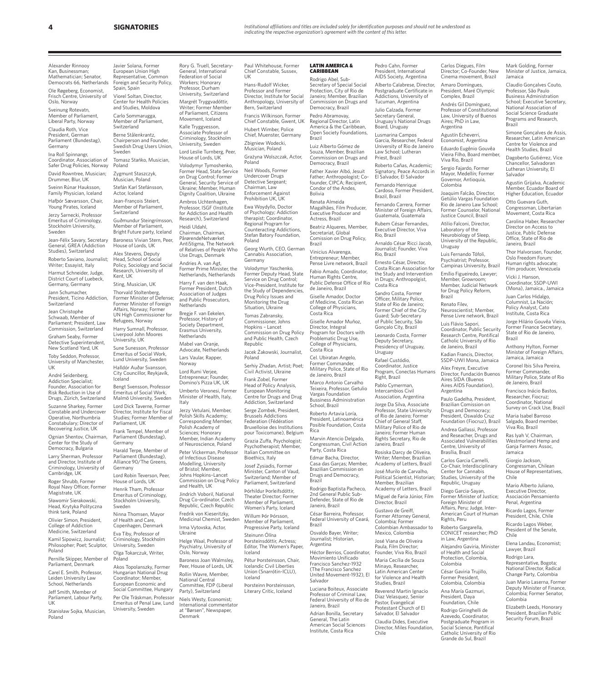Alexander Rinnooy Kan, Businessman; Mathematician; Senator, Democrats 66, Netherlands

Ole Røgeberg, Economist, Frisch Centre, University of Oslo, Norway

Sveinung Rotevatn, Member of Parliament, Liberal Party, Norway

Claudia Roth, Vice President, German Parliament (Bundestag), Germany

Ina Roll Spinnangr, Coordinator, Association of Safer Drug Policies, Norway David Rowntree, Musician;

Drummer, Blur, UK Sveinn Rúnar Hauksson,

Family Physician, Iceland Hafþór Sævarsson, Chair,

Young Pirates, Iceland Jerzy Sarnecki, Professor Emeritus of Criminology,

Stockholm University, Sweden Jean-Félix Savary, Secretary General, GREA (Addiction Studies), Switzerland Roberto Saviano, Journalist; Writer; Essayist, Italy

Harmut Schneider, Judge, District Court of Luebeck, Germany, Germany

Jann Schumacher, President, Ticino Addiction, **Switzerland** 

Jean Christophe Schwaab, Member of Parliament; President, Law Commission, Switzerland Graham Seaby, Former Detective Superintendent, New Scotland Yard, UK Toby Seddon, Professor,

University of Manchester, UK

André Seidenberg, Addiction Specialist; Founder, Association for Risk Reduction in Use of Drugs, Zürich, Switzerland

Suzanne Sharkey, Former Constable and Undercover Operative, Northumbria .<br>Constabulary; Director of Recovering Justice, UK

Ognian Shentov, Chairman, Center for the Study of Democracy, Bulgaria

Larry Sherman, Professor and Director, Institute of Criminology, University of Cambridge, UK

Roger Shrubb, Former byal Navy Officer, Former Magistrate, UK

Sławomir Sierakowski, Head, Krytyka Polityczna think tank, Poland

Olivier Simon, President, College of Addiction Medicine, Switzerland

Kamil Sipowicz, Journalist; Philosopher; Poet; Sculptor, Poland

Pernille Skipper, Member of Parliament, Denmark

Carel E. Smith, Professor, Leiden University Law School, Netherlands

Jeff Smith, Member of Parliament, Labour Party,

UK Stanisław Sojka, Musician, Poland

Javier Solana, Former European Union High epresentative, Common Foreign and Security Policy, Spain, Spain Viorel Soltan, Director, Center for Health Policies and Studies, Moldova Carlo Sommarugga, Member of Parliament, Switzerland Berne Stålenkrantz,

Chairperson and Founder, Swedish Drug Users Union, Sweden Tomasz Stańko, Musician, Poland

Jean-François Steiert,

Baroness Vivian Stern, Peer, House of Lords, UK Alex Stevens, Deputy Head, School of Social Policy, Sociology and Social Research, University of

Switzerland

Kent, UK Sting, Musician, UK Thorvald Stoltenberg, Former Minister of Defense; Former Minister of Foreign Affairs, Norway; Former UN High Commissioner for Refugees, Norway Harry Sumnall, Professor, Liverpool John Moores University, UK Sune Sunesson, Professor Emeritus of Social Work, Lund University, Sweden Halldór Auðar Svansson, City Councillor, Reykjavík,

Iceland

Parliament, UK

Germany

Germany

Sweden

Poland

of Health and Care,

Eva Tiby, Professor of Criminology, Stockholm University, Sweden Olga Tokarczuk, Writer,

Akos Topolanszky, Former Hungarian National Drug Coordinator; Member, European Economic and Social Committee, Hungary Per Ole Träskman, Professor Emeritus of Penal Law, Lund University, Sweden

Bengt Svensson, Professor Emeritus of Social Work,

Parliament (Bundestag),

Harald Terpe, Member of Parliament (Bundestag),

Zygmunt Staszczyk, Musician, Poland Stefán Karl Stefánsson, Actor, Iceland

Member of Parliament, Guðmundur Steingrímsson, Member of Parliament, Bright Future party, Iceland Dignity Coalition, Ukraine Ambros Uchtenhagen, Professor, ISGF (Institute for Addiction and Health Research), Switzerland Heidi Uldahl, Chairman, Chairman,

Federation of Social Workers; Honorary Professor, Durham

Margrét Tryggvadóttir, Writer; Former Member of Parliament, Citizens Movement, Iceland Kalle Tryggvesson, Associate Professor of Criminology, Stockholm University, Sweden Lord Leslie Turnberg, Peer, House of Lords, UK

on Drug Control; Former General, Security Service of Ukraine; Member, Human

PårørendeNetværket<br>AntiStigma, The Network of Relatives of People Who Use Drugs, Denmark Andries A. van Agt, Former Prime Minister, the

Netherlands, Netherlands Harry F. van den Haak, Former President, Dutch Association of Judges and Public Prosecutors **Netherlands** 

Bregje F. van Eekelen, Professor, History of Society Department, Erasmus University, Netherlands Mabel van Oranje,

Advocate, Netherlands Lars Vaular, Rapper, Norway Lord Rumi Verjee,

Entrepreneur; Founder, Domino's Pizza UK, UK

Malmö University, Sweden Lord Dick Taverne, Former Director, Institute for Fiscal Studies; Former Member of Umberto Veronesi, Former Minister of Health, Italy, Italy Jerzy Vetulani, Member, Polish Skills Academy; Corresponding Member, Polish Academy of

Frank Tempel, Member of Sciences; Honorary Member, Indian Academy of Neuroscience, Poland Peter Vickerman, Professor of Infectious Disease

Alliance 90/The Greens, Lord Robin Teverson, Peer, House of Lords, UK Modelling, University of Bristol; Member, Johns Hopkins–Lancet and Health, UK

Henrik Tham, Professor Emeritus of Criminology, Stockholm University, Jindrich Voboril, National Drug Co-ordinator, Czech Republic, Czech Republic

Ninna Thomsen, Mayor Copenhagen, Denmark Fredrik von Kieseritzky, Medicinal Chemist, Sweden Irma Vytovska, Actor, Ukraine

> Helge Waal, Professor of Psychiatry, University of Oslo, Norway

Baroness Joan Walmsley, Peer, House of Lords, UK Rollin Wavre, Member, National Central Committee, FDP (Liberal Party), Switzerland

Niels Westy, Economist; International commentator at "Børsen", Newspaper,

Denmark

Rory G. Truell, Secretary-General, International University, Switzerland Paul Whitehouse, Former Chief Constable, Sussex, **UK** Hans-Rudolf Wicker, Professor and Former

Director, Institute for Social Anthropology, University of Bern, Switzerland Francis Wilkinson, Forme

Chief Constable, Gwent, UK Hubert Wimber, Police Chief, Muenster, Germany Zbigniew Wodecki, Musician, Poland

Volodymyr Tymoshenko,<br>Former Head, State Service Grażyna Wolszczak, Actor, Poland Neil Woods, Former Undercover Drugs Detective Sergeant; Chairman, Law Enforcement Against

Prohibition UK, UK Ewa Woydyllo, Doctor of Psychology; Addiction therapist; Coordinator, Regional Program for Counteracting Addictions, Stefan Batory Foundation, Poland Georg Wurth, CEO, German

Cannabis Association, Germany Volodymyr Yaschenko, Former Deputy Head, State

Service on Drug Control; Vice-President, Institute for the Study of Dependencies, Drug Policy Issues and Monitoring the Drug Situation, Ukraine

Tomas Zabransky, Commissioner, Johns Hopkins – Lancet Commission on Drug Policy and Public Health, Czech Republic

Jacek Żakowski, Journalist, Poland Serhiy Zhadan, Artist; Poet;

Civil Activist, Ukraine Frank Zobel, Former Head of Policy Analysis,

European Monitoring Centre for Drugs and Drug Addiction, Switzerland Serge Zombek, President, Brussels Addictions Federation (Fédération

Bruxelloise des Institutions pour Toxicomane), Belgium Grazia Zuffa, Psychologist; Psychotherapist; Member,

Italian Committee on Bioethics, Italy Josef Zysiadis, Former Minister, Canton of Vaud,

Commission on Drug Policy Switzerland; Member of Parliament, Switzerland Þórhildur Þorleifsdóttir,

Theater Director; Former Member of Parliament, Women's Party, Iceland Willum Þór Þórsson,

Member of Parliament, Progressive Party, Iceland Steinunn Ólína

Þorsteinsdóttir, Actress; Editor, The Women's Paper, Iceland

Pétur Þorsteinsson, Chair, Icelandic Civil Liberties Union (Snarrótin-ICLU), Iceland Þorsteinn Þorsteinsson,

Literary Critic, Iceland

### **LATIN AMERICA &** CARIBBEAN

Rodrigo Abel, Sub-Secretary of Special Social Protection, City of Rio de Janeiro; Member, Brazilian Commission on Drugs and Democracy, Brazil Pedro Abramovay, Regional Director, Latin

America & the Caribbean, Open Society Foundations, Brazil Luiz Alberto Gómez de Souza, Member, Brazilian Commission on Drugs and

Democracy, Brazil Father Xavier Albó, Jesuit Father; Anthropologist; Cofounder, CIPCA; Recipient, Condor of the Andes, Bolivia

Renata Almeida Magalhães, Film Producer, Executive Producer and Actress, Brazil

Beatriz Alqueres, Member, Secretariat, Global Comission on Drug Policy, Brazil Vinicius Alvarenga, Entrepreneur; Member,

Pense Livre network, Brazil Fabio Amado, Coordinator, Human Rights Centre, Public Defense Office of Rio

de Janeiro, Brazil Giselle Amador, Doctor of Medicine, Costa Rican College of Physicians, Costa Rica

Giselle Amador Muñoz, Director, Integral Program for Doctors with Problematic Drug Use, College of Physicians,

Costa Rica Cel. Ubiratan Angelo, Former Commander, Military Police, State of Rio de Janeiro, Brazil

Marco Antonio Carvalho Teixeira, Professor, Getulio Vargas Foundation Bussiness Administration

School, Brazil Roberto Artavia Loría, President, Latinoamérica Posible Foundation, Costa Rica

Marvin Atencio Delgado, Congressman, Civil Action Party, Costa Rica Edmar Bacha, Director,

Casa das Garças; Member, Brazilian Commission on Drugs and Democracy, Brazil Rodrigo Baptista Pacheco, 2nd General Public Sub-

Defender, State of Rio de Janeiro, Brazil César Barreira, Professor, Federal University of Ceará,

Brazil Osvaldo Bayer, Writer;

Journalist; Historian, Argentina Héctor Berrios, Coordinator,

Movimiento Unificado Francisco Sanchez-1932 (The Francisco Sanchez United Movement-1932), El Salvador

Luciana Boiteux, Associate Professor of Criminal Law, Federal University of Rio de

Janeiro, Brazil Adrian Bonilla, Secretary General, The Latin American Social Sciences Institute, Costa Rica

Pedro Cahn, Former President, International AIDS Society, Argentina Alberto Calabrese, Director, Postgraduate Certificate in Addictions, University of Tucuman, Argentina Julio Calzada, Former Secretary General, Uruguay's National Drugs Board, Uruguay Lusmarina Campos Garcia, Researcher, Federal

University of Rio de Janeiro Law School; Lutheran Priest, Brazil Roberto Cañas, Academic; Eduardo Eugênio Gouvêa

Carlos Diegues, Film Director; Co-Founder, New Cinema movement, Brazil Amaro Domingues, President, Maré Olympic Complex, Brazil Andrés Gil Domínguez, Professor of Constitutional Law, University of Buenos Aires; PhD in Law,

Mark Golding, Former Minister of Justice, Jamaica,

Claudio Gonçalves Couto, Professor, São Paulo Business Administration School: Executive Secretary National Association of Social Science Graduate Programs and Research,

Simone Gonçalves de Assis, Researcher, Latin American Centre for Violence and Health Studies, Brazil Dagoberto Gutiérrez, Vice Chancellor, Salvadorar Lutheran University, El Salvador

Agustin Grijalva, Academic Member, Ecuador Board of Higher Education, Ecuador Otto Guevara Guth, Congressman, Libertarian Movement, Costa Rica Carolina Haber, Researcher Director on Access to Justice, Public Defense Office, State of Rio de Janeiro, Brazil Thor Halvorssen, Founder, Oslo Freedom Forum; Human rights advocate; Film producer, Venezuela Vicki J. Hansor Coordinator, SSDP-UWI (Mona), Jamaica., Jamaica Juan Carlos Hidalgo, Columnist, La Nación; Policy Analyst, Cato Institute, Costa Rica Jorge Hilário Gouvêa Vieira, Former Finance Secretary, State of Rio de Janeiro,

Jamaica

Brazil

Brazil

Chile

Chile

Colombia

Mario Alberto Juliano, Executive Director, Asociación Pensamiento Penal, Argentina Ricardo Lagos, Former President, Chile, Chile Ricardo Lagos Weber, President of the Senate

Elena Landau, Economist; Lawyer, Brazil Rodrigo Lara, Representative, Bogota; National Director, Radical Change Party, Colombia Juan Mario Laserna, Former Deputy Minister of Finance, Colombia; Former Senator,

Elizabeth Leeds, Honorary President, Brazilian Public Security Forum, Brazil

Anthony Hylton, Former Minister of Foreign Affairs, Jamaica, Jamaica Coronel Ibis Silva Pereira, Former Commander, Military Police, State of Rio de Janeiro, Brazil Francisco Inácio Bastos, Researcher, Fiocruz; Coordinator, National Survey on Crack Use, Brazil Maria Isabel Barroso Salgado, Board member, Viva Rio, Brazil Ras Iyah V, Chairman, Westmorland Hemp and Ganja Farmers Assoc, Jamaica Giorgio Jackson, Congressman, Chilean House of Representatives,

Argentina Agustín Echeverri, Economist, Argentina

Uruguay Luis Fernando Tófoli, Psychiatrist; Professor, Campinas University, Brazil Emílio Figueiredo, Lawyer; Member, Growroom; Member, Judicial Network for Drug Policy Reform,

Brazil

Argentina

Rights, Peru Roberto Gargarella, CONICET researcher; PhD in Law, Argentina Alejandro Gaviria, Minister of Health and Social Protection, Colombia, Colombia César Gaviria Trujillo, Former President, Colombia, Colombia Ana María Gazmuri, President, Daya Foundation, Chile Rodrigo Giringhelli de Azevedo, Coordinator, Postgraduate Program in Social Science, Pontifical Catholic University of Rio Grande do Sul, Brazil

Paulo Gadelha, President, Brazilian Comission on Drugs and Democracy; President, Oswaldo Cruz Foundation (Fiocruz), Brazil Andrea Gallassi, Professor and Reseacher, Drugs and Associated Vulnerabilities Centre, University of Brasília, Brazil Carlos Garcia Carnelli, Co-Chair, Interdisciplinary Center for Cannabis Studies, University of the Republic, Uruguay Diego Garcia-Sayan, Former Minister of Justice; Foreign Minister of Affairs, Peru; Judge, Inter-American Court of Human

Vieira Filho, Board member, Viva Rio, Brazil ergio Fajardo, Former Mayor, Medellín; Former Governor, Antioquia, Colombia

Joaquim Falcão, Director, Getúlio Vargas Foundation Rio de Janeiro Law School; Former Counselor, National Justice Council, Brazil Atilio Falconi, Director, Laboratory of the Neurobiology of Sleep, University of the Republic,

Renato Filev, Neuroscientist; Member, Pense Livre network, Brazil Luis Flávio Sapori, Coordinator, Public Security Research Centre, Pontifical Catholic University of Rio de Janeiro, Brazil Kadian Francis, Director, SSDP-UWI Mona, Jamaica Alex Freyre, Executive Director, Fundación Buenos Aires SIDA (Buenos Aires AIDS Foundation),

Signatory, Peace Accords in El Salvador, El Salvador Fernando Henrique Cardoso, Former President, Brazil, Brazil

Fernando Carrera, Former Minister of Foreign Affairs, Guatemala, Guatemala

Rubem César Fernandes, Executive Director, Viva Rio, Brazil

Arnaldo César Ricci Jacob, Journalist; Founder, Viva Rio, Brazil

Ernesto César, Director, Costa Rican Association for the Study and Intervention in Drugs; Anthropolgist, Costa Rica

Sandro Costa, Former Officer, Military Police, State of Rio de Janeiro Former Chief of the City Guard; Sub-Secretary of Public Security, São Gonçalo City, Brazil

Leonardo Costa, Former Deputy Secretary, Presidency of Uruguay, Uruguay Rafael Custódio,

Coordinator, Justice Program, Conectas Humans Right, Brazil Pablo Cymerman, Intercambios Civil Association, Argentina Jorge Da Silva, Associate

Professor, State University of Rio de Janeiro; Former Chief of General Staff, Military Police of Rio de Janeiro; Former Human Rights Secretary, Rio de Janeiro, Brazil Rosiska Darcy de Oliveira, Writer; Member, Brazilian Academy of Letters, Brazil José Murilo de Carvalho, Political Scientist, Historian;

Member, Brazilian Academy of Letters, Brazil Miguel de Faria Júnior, Film Director, Brazil

Gustavo de Greiff, Former Attorney General, Colombia; Former Colombian Ambassador to

Mexico, Colombia José Viana de Oliveira Paula, Film Director;

Founder, Viva Rio, Brazil Maria Cecília de Souza

Minayo, Researcher,<br>Latin American Center for Violence and Health Studies, Brazil Reverend Martin Ignacio

Diaz Velasquez, Senior Pastor, Evangelical Protestant Church of El Salvador, El Salvador Claudia Dides, Executive Director, Miles Foundation,

Chile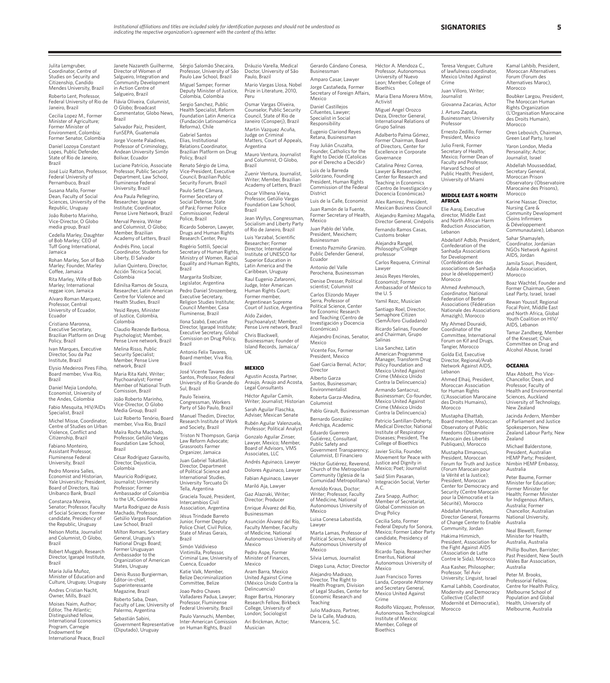Vice-President, Executive

Religion Studies Institute; Council Member, Casa

Tella, Argentina

Intercambios Civil Association, Argentina

Julita Lemgruber, Coordinator, Centre of Studies on Security and Citizenship, Candido Mendes University, Brazil Roberto Lent, Professor, Federal University of Rio de Janeiro, Brazil Cecilia Lopez M., Former Minister of Agriculture; Former Minister of Environment, Colombia; Former Senator, Colombia

Daniel Lozoya Constant Lopes, Public Defender, State of Rio de Janeiro, Brazil

José Luiz Ratton, Professor, Federal University of Pernambuco, Brazil

Susana Mallo, Former Dean, Faculty of Social Sciences, University of the Republic, Uruguay

João Roberto Marinho, Vice-Director, O Globo media group, Brazil Cedella Marley, Daughter of Bob Marley; CEO of

Tuff Gong International, Jamaica Rohan Marley, Son of Bob

Marley; Founder, Marley Coffee, Jamaica

Rita Marley, Wife of Bob Marley; International reggae icon, Jamaica Alvaro Roman Marquez,

Professor, Central University of Ecuador, Ecuador Cristiano Maronna,

Executive Secretary, Brazilian Platform on Drug

Policy, Brazil Ivan Marques, Executive Director, Sou da Paz

Institute, Brazil Elysio Medeiros Pires Filho,

Board member, Viva Rio, Brazil Daniel Mejia Londoño, Economist, University of

the Andes, Colombia Fabio Mesquita, HIV/AIDs Specialist, Brazil Michel Misse, Coordinator, Centre of Studies on Urban Violence, Conflict and

Citizenship, Brazil Fabiano Monteiro, Assistant Professor, Fluminense Federal

University, Brazil Pedro Moreira Salles, Economist and Historian, Yale Universitiy; President, Board of Directors, Itaú

Unibanco Bank, Brazil Constanza Moreira, Senator; Professor, Faculty of Social Sciences; Former

candidate, Presidency of the Republic, Uruguay Nelson Motta, Journalist and Columnist, O Globo,

Brazil Robert Muggah, Research

Director, Igarapé Institute, Brazil Maria Julia Muñoz, Minister of Education and

Culture, Uruguay, Uruguay Andres Cristian Nacht, Owner, Mills, Brazil

Moises Naim, Author; Editor, The Atlantic; Distinguished fellow, International Economics Program, Carnegie Endowment for International Peace, Brazil

Janete Nazareth Guilherme, Director of Women of Salgueiro, Integration and Community Development in Action Centre of Salgueiro, Brazil Flávia Oliveira, Columnist, O Globo; Broadcast Commentator, Globo News, Brazil Salvador Paiz, President, FunSEPA, Guatemala Jorge Vicente Paladines, Professor of Criminology, Andean University Simón Bolívar, Ecuador Luciane Patrício, Associate Professor, Public Security Department, Law School, Fluminense Federal University, Brazil Ana Paula Pellegrino, Researcher, Igarape Institute; Coordinator, Pense Livre Network, Brazil Merval Pereira, Writer and Columnist, O Globo; and Columnac, O Academy of Letters, Brazil Andrés Pino, Local Coordinator, Students for Liberty, El Salvador Julian Quintero, Director, Acción Técnica Social, Colombia Edinilsa Ramos de Souza, Researcher, Latin American Centre for Violence and Health Studies, Brazil Yesid Reyes, Minister of Justice, Colombia, Colombia Claudio Rezende Barbosa, Psychologist; Member, .<br>Inse Livre network, Brazil Melina Risso, Public Security Specialist; Member, Pense Livre network, Brazil Maria Rita Kehl, Writer; Psychoanalyst; Former Member of National Truth Comission, Brazil João Roberto Marinho, Vice-Director, O Globo Media Group, Brazil Luiz Roberto Tenório, Board member, Viva Rio, Brazil Maíra Rocha Machado, Professor, Getúlio Vargas Foundation Law School, Brazil César Rodríguez Garavito, Director, Dejusticia, Colombia Mauricio Rodriguez, Journalist; University Professor; Former Ambassador of Colombia to the UK, Colombia Marta Rodriguez de Assis Machado, Professor, Getúlio Vargas Foundation Law School, Brazil Milton Romani, Secretary General, Uruguay's National Drugs Board; Former Uruguayan Ambassador to the Organization of American States, Uruguay Denis Russo Burgierman, Editor-in-chief, Superinteressante Magazine, Brazil Colombia, Colombia Reforma), Chile Gabriel Santos Elias, Institutional Relations Coordinator, Policy, Brazil Renato Sérgio de Lima, Council, Brazilian Public Security Forum, Brazil Paulo Sette Câmara, Former Secretary of Social Defense, State of Pará; Former Police Commissioner, Federal Police, Brazil Ricardo Soberon, Lawyer, Drugs and Human Rights Research Center, Peru Rogério Sottili, Special Brazil Margarita Stolbizer, Legislator, Argentina Pedro Daniel Strozemberg, Executive Secretary, Fluminense, Brazil Ilona Szabó, Executive Director, Igarapé Institute; Executive Secretary, Global Comission on Drug Policy, Brazil Antonio Felix Tavares, Board member, Viva Rio, Brazil José Vicente Tavares dos Santos, Professor, Federal Sul, Brazil Paulo Teixeira, Congressman, Workers Party of São Paulo, Brazil Manuel Thedim, Director, Research Institute of Work and Society, Brazil Law Reform Advocate; Grassroots Farmer Organizer, Jamaica Juan Gabriel Tokatlián, Director, Department of Political Science and International Studies,

Roberto Saba, Dean, Faculty of Law, University of Palermo, Argentina Sebastián Sabini, Government Representative (Diputado), Uruguay University Torcuato Di Graciela Touzé, President, Jésus Trindade Barreto Junior, Former Deputy Police Chief, Civil Police, State of Minas Gerais, Brazil Simón Valdivieso Vintimilla, Professor, Criminal Law, University of Cuenca, Ecuador Katie Valk, Member, Committee, Belize Joao Pedro Chaves Professor, Fluminense on Human Rights, Brazil

Sérgio Salomão Shecaira, Professor, University of São Paulo Law School, Brazil Miguel Samper, Former Deputy Minister of Justice, Dráuzio Varella, Medical Doctor, University of São Paulo, Brazi Mario Vargas Llosa, Nobel Prize in Literature, 2010,

Sergio Sanchez, Public Health Specialist, Reform Foundation Latin America Peru Osmar Vargas Oliveira, Counselor, Public Security Council, State of Rio de

(Fundación Latinoamérica Janeiro (Consperj), Brazil Martin Vazquez Acuña, Judge on Criminal Matters, Court of Appeals,

Brazilian Platform on Drug Argentina Mauro Ventura, Journalist and Columnist, O Globo, Brazil

> Zuenir Ventura, Journalist, Writer; Member, Brazilian Academy of Letters, Brazil Oscar Vilhena Vieira,<br>Professor, Getúlio Vargas Foundation Law School,

Brazil Jean Wyllys, Congressman, Socialism and Liberty Party

Secretary of Human Rights, Ministry of Women, Racial Equality and Human Rights, of Rio de Janeiro, Brazil Luis Yarzabal, Scientific Researcher; Former Director, International Institute of UNESCO for Superior Education in Latin America and the Caribbean, Uruguay

> Raul Eugenio Zafaronni, Judge, Inter American Human Rights Court; Former member, Argentinean Supreme Court of Justice, Argentina Aldo Zaiden, Psychoanalyst; Member,

Pense Livre network, Brazil Chris Blackwell, Businessman; Founder of Island Records, Jamaica/

UK

### **MEXICO**

University of Rio Grande do Agustin Acosta, Partner, Araujo, Araujo and Acosta, Legal Consultants Héctor Aguilar Camín, Writer; Journalist; Historian Sarah Aguilar Flaschka, Adviser, Mexican Senate Rubén Aguilar Valenzuela,

Triston N Thompson, Ganja Professor; Political Analyst Gonzalo Aguilar Zinser, Lawyer, Mexico; Member,

Board of Advisors, VMS Associates, LLC Andrés Aguinaco, Lawyer

Dolores Aguinaco, Lawyer Fabian Aguinaco, Lawyer

Mariló Aja, Lawyer Gaz Alazraki, Writer; Director; Producer

Enrique Álvarez del Rio, Businessman

Asunción Álvarez del Río, Faculty Member, Faculty of Medicine, National Autonomous University of Mexico

Pedro Aspe, Former Minister of Finances, Mexico

Belize Decriminalization Aram Barra, Mexico United Against Crime (México Unido Contra la Delincuencia)

Valladares Padua, Lawyer; Federal University, Brazil Paulo Vannuchi, Member, Inter-American Comission Roger Bartra, Honorary Research Fellow, Birkbeck College, University of London; Sociologist Ari Brickman, Actor; Musician

Businessman Amparo Casar, Lawyer Jorge Castañeda, Former Secretary of Foreign Affairs, Mexico Daniel Castillejos Cifuentes, Lawyer; meenee, een jer,<br>pecialist in Social Responsibility Eugenio Clariond Reyes Retana, Businessman Fray Julián Cruzalta, Founder, Catholics for the Right to Decide (Catolicas por el Derecho a Decidir) Luis de la Barreda Solórzano, Founding President, Human Rights Commission of the Federal District Luis de la Calle, Economist Juan Ramón de la Fuente, Former Secretary of Health, Mexico

Gerardo Cándano Conesa,

Juan Pablo del Valle, President, Mexichem; Businessman Ernesto Pazmiño Granizo, Public Defender General, Ecuador Antonio del Valle Perochena, Businessman Denise Dresser, Political

scientist; Columnist Carlos Elizondo Mayer .<br>Serra, Professor of Political Science, Center for Economic Research and Teaching (Centro de Investigación y Docencia Económicas) Alejandro Encinas, Senator,

Mexico Vicente Fox, Former President, Mexico Gael Garcia Bernal, Actor;

Director Alberto Garza Santos, Businessman; Environmentalist

Roberta Garza-Medina, Columnist Pablo Girault, Businessman Bernardo González-

Aréchiga, Academic Eduardo Guerrero Gutiérrez, Consultant, Public Safety and Government Transparency; Columnist, El Financiero

Héctor Gutiérrez, Reverend, Church of the Metropolitan Community (Iglesia de la Comunidad Metropolitana) Arnoldo Kraus, Doctor; Writer; Professor, Faculty

Autonomous University of Mexico Luisa Conesa Labastida,

Lawyer Marta Lamas, Professor of Political Science, National Autonomous University of

Mexico Silvia Lemus, Journalist

Alejandro Madrazo, Teaching

De la Calle, Madrazo, Mancera, S.C.

Héctor A. Mendoza C., Professor, Autonomous University of Nuevo Leon; Member, College of Bioethics

Maria Elena Morera Mitre, Journalist Giovanna Zacarias, Actor

Deza, Director General,<br>International Relations of Grupo Salinas Adalberto Palma Gómez, Former Chairman, Board

Excellence in Corporate Governance Catalina Pérez Correa,

Alex Ramirez, President,

Alejandra Rangel,

Carlos Requena, Criminal

Economist; Former Ambassador of Mexico to the U. S

Santiago Roel, Director, Semaphore Citizen (Semáforo Ciudadano) Ricardo Salinas, Founder

Lisa Sanchez, Latin

Contra la Delincuencia) Armando Santacruz,

Mexico United Against Crime (México Unido Contra la Delincuencia) Patricio Santillan-Doherty, Medical Director, National

College of Bioethics

Justice and Dignity in Mexico; Poet; Journalist

A.C.

of Medicine, National

Diego Luna, Actor; Director

Director, The Right to Health Program, Division of Legal Studies, Center for Economic Research and Julio Madrazo, Partner,

**Bioethics** 

**SIGNATORIES 5**

Kamal Lahbib, President, Moroccan Alternatives Forum (Forum des Alternatives Maroc), Morocco

Boubker Largou, President, The Moroccan Human Rights Organization (L'Organisation Marocaine des Droits Humain), Morocco

Oren Lebovich, Chairman, Green Leaf Party, Israel Yaron London, Media Personality; Actor; Journalist, Israel Abdellah Mousseddad, Secretary General, Moroccan Prison Observatory (Observatoire Marocaine des Prisons),

Karine Nassar, Director, Nursing Care & Community Development (Soins Infirmiers & Développement Communautaire), Lebanon Sahar Shamayleh, Coordinator, Jordanian NGOs Network Against AIDS, Jordan Jamila Siouri, President, Adala Association, Morocco

Boaz Wachtel, Founder and Former Chairman, Green Leaf Party, Israel, Israel Rewan Youssif, Regional Focal Point, Middle East and North Africa, Global Youth Coalition on HIV/ AIDS, Lebanon Tamar Zandberg, Member of the Knesset; Chair, Committee on Drug and Alcohol Abuse, Israel

**OCEANIA** Max Abbott, Pro Vice-Chancellor, Dean, and Professor, Faculty of Health and Environmental Sciences, Auckland University of Technology, New Zealand Jacinda Ardern, Member of Parliament and Justice Spokesperson, New Zealand Labour Party, New

Zealand

Australia Peter Baume, Former Minister for Education; Former Minister for Health; Former Minister for Indigenous Affairs, Australia; Former Chancellor, Australian National University, Australia Neal Blewett, Former Minister for Health, Australia, Australia Phillip Boulten, Barrister; Past President, New South Wales Bar Association, Australia Peter M. Brooks, Professorial Fellow, Centre for Health Policy, Melbourne School of Population and Global Health, University of Melbourne, Australia

Michael Balderstone, President, Australian HEMP Party; President, Nimbin HEMP Embassy,

Morocco

Teresa Venguer, Culture of lawfulness coordinator, Mexico United Against

Juan Villoro, Writer;

Businessman; University

MIDDLE EAST & NORTH

Abdellatif Adbib, President, Confederation of the Sanhadia Associations for Development (Confédération des associations de Sanhadja pour le développement)

Ernesto Zedillo, Former President, Mexico Julio Frenk, Former Secretary of Health, Mexico; Former Dean of Faculty and Professor, Harvard School of Public Health; President, University of Miami

Crime

Professor

AFRICA Elie Aaraj, Executive director, Middle East and North African Harm Reduction Association, Lebanon

Morocco Ahmed Arehmouch, Coordinator, National Federation of Berber Associations (Fédération Nationale des Associations Amazigh), Morocco My Ahmed Douraidi, Coordinator of the Committee, International Forum on Kif and Drugs, Tangier, Morocco Golda Eid, Executive Director, Regional/Arab Network Against AIDS,

Lebanon

Ahmed Elhaij, President, Moroccan Association for Human Rights (L'Association Marocaine des Droits Humains), Morocco Mustapha Elhattab, Board member, Moroccan Observatory of Public Freedoms (Observatoire Marocain des Libertés Publiques), Morocco Mustapha Elmanouzi, President, Moroccan Forum for Truth and Justice (Forum Marocain pour la Vérité et la Justice); President, Moroccan Center for Democracy and Security (Centre Marocain pour la Démocratie et la Sécurité), Morocco Abdallah Hanatleh, Director General, Forearms of Change Center to Enable Community, Jordan Hakima Himmich, President, Association for the Fight Against AIDS (Association de Lutte Contre le Sida), Morocco Asa Kasher, Philosopher; Professor, Tel Aviv University; Linguist, Israel Kamal Lahbib, Coordinator, Modernity and Democracy Collective (Collectif Modernité et Démocratie),

Activist Miguel Angel Orozco J. Arturo Zapata,

of Directors, Center for

Lawyer & Researcher, Center for Research and Teaching in Economics (Centro de Investigación y Docencia Económicas)

Mexican Business Council Alejandro Ramírez Magaña, Director General, Cinépolis Fernando Ramos Casas, Customs broker

Philosophy/College professor

Lawyer Jesús Reyes Heroles,

Yamil Rezc, Musician

and Chairman, Grupo Salinas

American Programme Manager, Transform Drug Policy Foundation and Mexico United Against Crime (México Unido

Businessman; Co-founder,

Institute of Respiratory Diseases; President, The

Javier Sicilia, Founder, Movement for Peace with

Said Slim Pasaran, Integración Social, Verter

Zara Snapp, Author; Member of Secretariat, Global Commission on Drug Policy Cecilia Soto, Former Federal Deputy for Sonora,

Mexico; Former Labor Party candidate, Presidency of Mexico Ricardo Tapia, Researcher

Emeritus, National Autonomous University of Mexico

Juan Francisco Torres Landa, Corporate Attorney and Secretary General, Mexico United Against Crime

Rodolfo Vázquez, Professor, Autonomous Technological Institute of Mexico; Member, College of

Morocco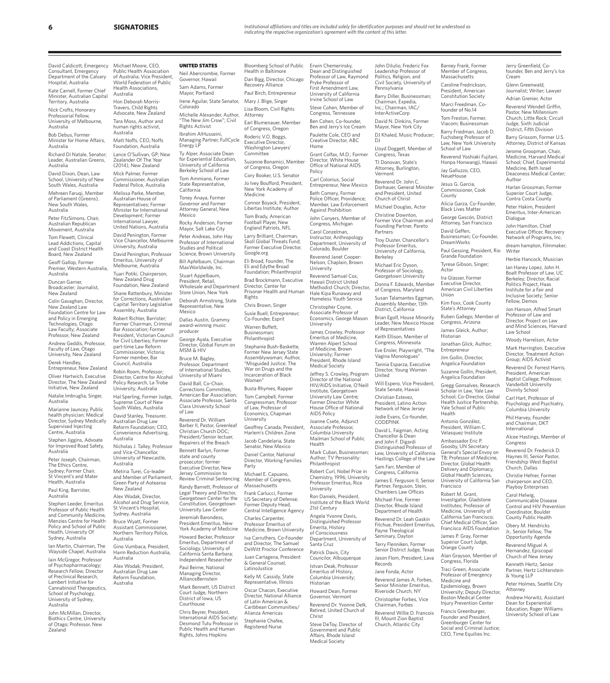**6 SIGNATORIES**

David Caldicott, Emergency Consultant, Emergency Department of the Calvary Hospital, Australia

Kate Carnell, Former Chief Minister, Australian Capital Territory, Australia

Nick Crofts, Honorary Professorial Fellow, University of Melbourne,

Australia Bob Debus, Former

Minister for Home Affairs, Australia

Richard Di Natale, Senator; Leader, Australian Greens, Australia

David Dixon, Dean, Law School, University of New South Wales, Australia

Mehreen Faruqi, Member of Parliament (Greens), New South Wales,

Australia Peter FitzSimons, Chair, Australian Republican

Movement, Australia Tom Flewett, Clinical Lead Addictions, Capital

and Coast District Health Board, New Zealand

Geoff Gallop, Former Premier, Western Australia, Australia

Duncan Garner, Broadcaster; Journalist, New Zealand

Colin Gavaghan, Director, New Zealand Law Foundation Centre for Law and Policy in Emerging Technologies, Otago Law Faculty; Associate Professor, New Zealand Andrew Geddis, Professor,

Faculty of Law, Otago University, New Zealand Derek Handley,

Entrepreneur, New Zealand Oliver Hartwich, Executive

Director, The New Zealand Initiative, New Zealand

Natalie Imbruglia, Singer, Australia Marianne Jauncey, Public

health physician; Medical Director, Sydney Medically Supervised Injecting entre, Australia

Stephen Jiggins, Advoate for Improved Road Safety, Australia Peter Joseph, Chairman,

The Ethics Centre, Sydney; Former Chair, St Vincent's and Mater Health, Australia

Paul King, Barrister, **Australia** 

Stephen Leeder, Emeritus Professor of Public Health and Community Medicine, Menzies Centre for Health Policy and School of Public Health, University Of Sydney, Australia

Ian Martin, Chairman, The Wayside Chapel, Australia Iain McGregor, Professor of Psychopharmacology; Research Fellow; Director of Preclinical Research, Lambert Initiative for Cannabinoid Therapeutics, School of Psychology, University of Sydney, Australia

John McMillan, Director, Biothics Centre, University of Otago; Professor, New Zealand

Michael Moore, CEO Public Health Association of Australia; Vice President, World Federation of Public Health Associations, Australia Hon Deborah Morris-Travers, Child Rights Advocate, New Zealand Tara Moss, Author and human rights activist, Australia Matt Noffs, CEO, Noffs Foundation, Australia Lance O'Sullivan, GP; New Zealander Of The Year (2014), New Zealand Mick Palmer, Former Commissioner, Australian Federal Police, Australia Melissa Parke, Member, Australian House of Representatives; Former Minister for International Development; Former International Lawyer, United Nations, Australia David Penington, Former Vice Chancellor, Melbourne University, Australia David Penington, Professor Emeritus, University of Melbourne, Australia Tuari Potiki, Chairperson, New Zealand Drug Foundation, New Zealand Shane Rattenbury, Minister for Corrections, Australian Capital Territory Legislative Assembly, Australia Robert Richter, Barrister; Former Chairman, Criminal Bar Association; Former President, Victorian Council for Civil Liberties; Former part-time Law Reform UNITED STATES Neil Abercrombie, Former Governor, Hawaii

Commissioner, Victoria; Former member, Bar Council, Australia Robin Room, Professor; Director, Centre for Alcohol Policy Research, La Trobe University, Australia Hal Sperling, Former Judge, Supreme Court of New South Wales, Australia David Stanley, Treasurer, Australian Drug Law Reform Foundation; CEO, Convenience Advertising, Australia Nicholas J. Talley, Professor and Vice-Chancellor, University of Newcastle, Australia Metiria Turei, Co-leader and Member of Parliament, Green Party of Aotearoa New Zealand

Alex Wodak, Director, Alcohol and Drug Service, St Vincent's Hospital, Sydney, Australia Bruce Wyatt, Former Assistant Commissioner, Northern Territory Police,

Australia Gino Vumbaca, President, Harm Reduction Australia,

Australia Alex Wodak, President, Australian Drug Law Reform Foundation, Australia

Sam Adams, Former Mayor, Portland Irene Aguilar, State Senator, Colorado Michelle Alexander, Author, The New Jim Crow"; Civil Rights Activist Ibrahim AlHusseini, Managing Partner, FullCycle Energy LP Ty Alper, Associate Dean for Experiential Education, University of California Berkeley School of Law Tom Ammiano, Former State Representative, California Toney Anaya, Former Governor and Former Attorney General, New Mexico Rocky Anderson, Former Mayor, Salt Lake City Peter Andreas, John Hay Professor of International Studies and Political

Science, Brown University Bill Apfelbaum, Chairman MaxWorldwide, Inc. Stuart Appelbaum, President, Retail, Wholesale and Department Store Union, New York Deborah Armstrong, State Representative, New

Mexico Dallas Austin, Grammy award-winning music producer George Ayala, Executive Director, Global Forum on MSM & HIV

Bruce M. Bagley, Professor, Department of International Studies, University of Miami David Ball, Co-Chair,

Corrections Committee, American Bar Association; Associate Professor, Santa Clara University School of Law

Reverend Dr. William Barber II, Pastor, Greenlea Christian Church DOC; President/Senior lectuer, Repairers of the Breach Bennett Barlyn, Former state and county prosecutor; former Executive Director, New Jersey Commission to

Review Criminal Sentencing Randy Barnett, Professor of Legal Theory and Director, Georgetown Center for the Constitution, Georgetown University Law Center

Jeremiah Barondess, President Emeritus, New York Academy of Medicine Howard Becker, Professor Emeritus, Department of Sociology, University of

California Santa Barbara; Independent Researcher Paul Beirne, National Managing Director, AllianceBernstein

Mark Bennett, US District Court Judge, Northern District of Iowa, US Courthouse

Chris Beyrer, President, International AIDS Society; Desmond Tutu Professor in Public Health and Human Rights, Johns Hopkins

Bloomberg School of Public Health in Baltimore Dan Bigg, Director, Chicago Recovery Alliance Paul Birch, Entrepreneur Mary J. Blige, Singer Lisa Bloom, Civil Rights Attorney

Earl Blumenauer, Member of Congress, Oregon Roderic V.O. Boggs, Executive Director, Washington Lawyers'

**Committee** Suzanne Bonamici, Member of Congress, Oregon

Cory Booker, U.S. Senator Jo Ivey Boufford, President, New York Academy of Medicine

Connor Boyack, President, Libertas Institute; Author Tom Brady, American

Football Player, New England Patriots, NFL Larry Brilliant, Chairman

Skoll Global Threats Fund; Former Executive Director, Google.org

Eli Broad, Founder, The Eli and Edythe Broad Foundation; Philanthropist Brad Brockmann, Executive Director, Center for

Prisoner Health and Human Rights Chris Brown, Singer

Susie Buell, Entrepreneur; Co-Founder, Esprit Warren Buffett,

Businessman; Philanthropist Stephanie Bush-Baskette, Former New Jersey State

Assemblywoman; Author, "Misguided Justice: The War on Drugs and the Incarceration of Black Women"

Busta Rhymes, Rapper Tom Campbell, Former Congressman; Professor of Law, Professor of

Economics, Chapman University Geoffrey Canada, President, Harlem's Children Zone Jacob Candelaria, State Senator, New Mexico Daniel Cantor, National

Director, Working Families Party Michael E. Capuano,

Member of Congress, Massachusetts Frank Carlucci, Former US Secretary of Defense;

Former Deputy Head, Central Intelligence Agency Charles Carpenter, Professor Emeritus of

Medicine, Brown University Iva Carruthers, Co-Founder and Director, The Samuel DeWitt Proctor Conference

Juan Cartagena, President & General Counsel, Latino lustice

Kelly M. Cassidy, State

Representative, Illinois Oscar Chacon, Executive Director, National Alliance of Latin American & Caribbean Communities/

Alianza Americas Stephanie Chafee, Registered Nurse

Erwin Chemerinsky, Dean and Distinguished Professor of Law, Raymond Pryke Professor of First Amendment Law, University of California Irvine School of Law Steve Cohen, Member of Congress, Tennessee Ben Cohen, Co-founder, Ben and Jerry's Ice Cream Paulette Cole, CEO and Creative Director, ABC Home Grant Colfax, M.D.; Former Director, White House Office of National AIDS Policy Carl Colonius, Social Entrepreneur, New Mexico Beth Comery, Former Police Officer, Providence; Member, Law Enforcement Against Prohibition John Conyers, Member of Congress, Michigan Carol Conzelman, Instructor, Anthropology Department, University of Colorado, Boulder Reverend Janet Cooper-Nelson, Chaplain, Brown University Reverend Samuel Cox, Hawaii District United Methodist Church; Director, Hale Kipa Runaway and Homeless Youth Service Christopher Coyne, Associate Professor of Economics, George Mason University James Crowley, Professor Emeritus of Medicine, Warren Alpert School of Medicine, Brown University; Former President, Rhode Island Medical Society Jeffrey S. Crowley, Program Director of the National HIV/AIDS Initiative, O'Neill Institute, Georgetown University Law Centre; Former Director White House Office of National AIDS Policy Joanne Csete, Adjunct Associate Professor, Columbia University Mailman School of Public Health Mark Cuban, Businessman; Author; TV Personality: Philanthropist Robert Curl, Nobel Prize in Chemistry, 1996; University Professor Emeritus, Rice University Ron Daniels, President, Institute of the Black World 21st Century Angela Yvonne Davis, Distinguished Professor Emerita, History of Consciousness Department, University of Santa Cruz Patrick Davis, City Councilor, Albuquerque Istvan Deak, Professor Emeritus of History, Columbia University; Historian Howard Dean, Former Governor, Vermont Reverend Dr. Yvonne Delk, Retired, United Church of Christ

Steve DeToy, Director of Government and Public Affairs, Rhode Island Medical Society

Politics, Religion, and Civil Society, University of Pennsylvania Barry Diller, Businessman; Chairman, Expedia, Inc.; Chairman, IAC/ InterActiveCorp David N. Dinkins, Former Mayor, New York City DJ Khaled, Music Producer;  $D<sub>l</sub>$ Lloyd Doggett, Member of Congress, Texas TJ Donovan, State's Attorney, Burlington, Vermont Reverend Dr. John C. Dorhauer, General Minister and President, United Church of Christ Michael Douglas, Actor Christine Downton, Former Vice Chairman and

John DiIulio, Frederic Fox Leadership Professor of

Professor Emeritus,

University of California, Berkeley Michael Eric Dyson, Professor of Sociology, Georgetown University Donna F. Edwards, Member of Congress, Maryland Susan Talamantes Eggman, Assembly Member, 13th District, California Brian Egolf, House Minority Leader, New Mexico House of Representatives Keith Ellison, Member of Congress, Minnesota Eve Ensler, Playwright, "The Vagina Monologues" Tannia Esparza, Executive Director, Young Women

Will Espero, Vice President, State Senate, Hawaii Christian Estevez, President, Latino Action Network of New Jersey Distinguished Professor of Law, University of California Congress, California

Partner, Ferguson, Stein, Chambers Law Offices Michael Fine, Former

Department of Health Reverend Dr. Leah Gaskin Fitchue, President Emeritus, Payne Theological

Senior District Judge, Texas Jason Flom, President, Lava Records

Jane Fonda, Actor Reverend James A. Forbes, Senior Minister Emeritus, Riverside Church, NY Christopher Forbes, Vice

III, Mount Zion Baptist Church, Atlantic City

Founding Partner, Pareto Partners Troy Duster, Chancellor's

United

Jodie Evans, Co-founder, CODEPINK David L. Faigman, Acting Chancellor & Dean and John F. Digardi

Hastings College of the Law Sam Farr, Member of

James E. Ferguson II, Senior

Director, Rhode Island

Seminary, Dayton Terry Flenniken, Former

Chairman, Forbes Reverend Willie D. Francois

Caroline Fredrickson, President, American Constitution Society Marci Freedman, Cofounder of No.14 Tom Freston, Former, Viacom; Businessman Barry Friedman, Jacob D. Fuchsberg Professor of Law, New York University School of Law Reverend Yoshiaki Fujitani, Honpa Honwangji, Hawaii Jay Galluzzo, CEO, **NeueHouse** Jesus G. Garcia, Commissioner, Cook County Alicia Garza, Co-Founder, Black Lives Matter

Barney Frank, Former Member of Congress, Massachusetts

Jerry Greenfield, Cofounder, Ben and Jerry's Ice

Cream Glenn Greenwald, Journalist; Writer; Lawyer Adrian Grenier, Actor Reverend Wendell Griffin, Pastor, New Millennium Church, Little Rock; Circuit Judge, Sixth Judicial District, Fifth Division Barry Grissom, Former U.S. Attorney, District of Kansas Jerome Groopman, Chair, Medicine, Harvard Medical School; Chief, Experimental Medicine, Beth Israel Deaconess Medical Center;

Author

Dialogue John Hamilton, Chief Executive Officer, Recovery Network of Programs, Inc. dream hampton, Filmmaker;

Writer

Law School

Woody Harrelson, Actor Mark Harrington, Executive Director, Treatment Action Group; AIDS Activist Reverend Dr. Forrest Harris, President, American Baptist College; Professor, Vanderbilt University Divinity School Carl Hart, Professor of Psychology and Psychiatry, Columbia University Phil Harvey, Founder and Chairman, DKT International

Alcee Hastings, Member of

Reverend Dr. Frederick D. Haynes III, Senior Pastor, Friendship West Baptist Church, Dallas Christie Hefner, Former chairperson and CEO, Playboy Enterprises Carol Helwig, Communicable Disease Control and HIV Prevention Coordinator, Boulder County Public Health Obery M. Hendricks Jr., Senior Fellow, The Opportunity Agenda Reverend Miguel A. Hernandez, Episcopal Church of New Jersey Kenneth Hertz, Senior Partner, Hertz Lichtenstein & Young LLP

Peter Holmes, Seattle City

Andrew Horwitz, Assistant Dean for Experiential Education, Roger Williams University School of Law

Attorney

Congress

Harlan Grossman, Former Superior Court Judge, Contra Costa County Peter Hakim, President Emeritus, Inter-American

Herbie Hancock, Musician Ian Haney Lopez, John H. Boalt Professor of Law, UC Berkeley; Director, Racial Politics Project, Haas Institute for a Fair and Inclusive Society; Senio Fellow, Demos Jon Hanson, Alfred Smart Professor of Law and Director, Project on Law and Mind Sciences, Harvard

George Gascón, District Attorney, San Francisco

David Geffen, Businessman; Co-Founder, DreamWorks

Paul Gessing, President, Rio Grande Foundation Tyrese Gibson, Singer;

Actor Ira Glasser, Former Executive Director, American Civil Liberties Union Kim Foxx, Cook County State's Attorney Ruben Gallego, Member of Congress, Arizona James Gleick, Author;

Historian Jonathan Glick, Author; Entrepreneur Jim Gollin, Director, Angelica Foundation

Suzanne Gollin, President, Angelica Foundation Gregg Gonsalves, Research Scholar in Law, Yale Law School; Co-Director, Global

Health Justice Partnership, Yale School of Public Health Antonio González,

President, William C. Velasquez Institute Ambassador Eric P. Goosby, UN Secretary General's Special Envoy on TB; Professor of Medicine, Director, Global Health

Delivery and Diplomacy, Global Health Sciences, University of California San Francisco

Robert M. Grant, Investigator, Gladstone Institutes; Professor of Medicine, University of California San Francisco; Chief Medical Officer, San Francisco AIDS Foundation James P. Gray, Former Superior Court Judge, Orange County Alan Grayson, Member of Congress, Florida Traci Green, Associate Professor of Emergency Medicine and Epidemiology, Brown University; Deputy Director, Boston Medical Center Injury Prevention Center Francis Greenburger, Founder and President, Greenburger Center for Social and Criminal Justice; CEO, Time Equities Inc.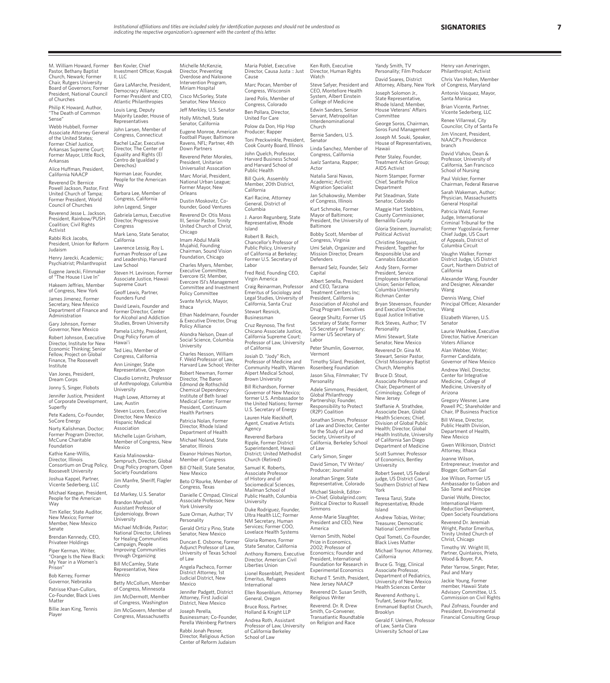Michelle McKenzie, Director, Preventing

Miriam Hospital

Holly Mitchell, State Senator, California

Down Partners

President, Unitarian

National Urban League; Former Mayor, New Orleans

Dustin Moskovitz, Cofounder, Good Ventures Reverend Dr. Otis Moss III, Senior Pastor, Trinity United Church of Christ,

Chicago Imam Abdul Malik Mujahid, Founding Chairman, Sound Vision Foundation, Chicago Charles Myers, Member, Executive Committee, Evercore ISI; Member, Evercore ISI's Management Committee and Investment Policy Committee Svante Myrick, Mayor,

Ithaca

University

Ethan Nadelmann, Founder & Executive Director, Drug Policy Alliance Alondra Nelson, Dean of Social Science, Columbia

Charles Nesson, William Weld Professor of Law

Robert Newman, Former Director, The Baron Edmond de Rothschild Chemical Dependency nstitute of Beth Israel Medical Center; Former President, Continuum Health Partners Patricia Nolan, Former Director, Rhode Island Department of Health Michael Noland, State Senator, Illinois

Member of Congress

New Mexico

Congress, Texas

York University

Senator, New Mexico

Adjunct Professor of Law,

Angela Pacheco, Former

**Personality** 

of Law

Mexico

Joseph Perella,

M. William Howard, Former Ben Kovler, Chief Pastor, Bethany Baptist Church, Newark; Former Chair, Rutgers University Board of Governors; Former President, National Council of Churches

Philip K Howard, Author, The Death of Common Sense"

Webb Hubbell, Former Associate Attorney General of the United States; Former Chief Justice, Arkansas Supreme Court; Former Mayor, Little Rock, Arkansas

Alice Huffman, President, California NAACP Reverend Dr. Bernice

Powell Jackson, Pastor, First United Church of Tampa; Former President, World Council of Churches Reverend Jesse L. Jackson,

President, Rainbow/PUSH Coalition; Civil Rights Activist

Rabbi Rick Jacobs, President, Union for Reform Judaism

Henry Jarecki, Academic; Psychiatrist; Philanthropist

Eugene Jarecki, Filmmaker of "The House I Live In" Hakeem Jeffries, Member

of Congress, New York James Jimenez, Former Secretary, New Mexico Department of Finance and

Administration Gary Johnson, Former

Governor, New Mexico Robert Johnson, Executive Director, Institute for New Economic Thinking; Senior Fellow, Project on Global Finance, The Roosevelt

Institute Van Jones, President, Dream Corps

Jonny 5, Singer, Flobots Jennifer Justice, President

of Corporate Development, Superfly Pete Kadens, Co-Founder,

SoCore Energy Norty Kalishman, Doctor;

Former Program Director, McCune Charitable Foundation

Kathie Kane-Willis, Director, Illinois Consortium on Drug Policy, Roosevelt University

Joshua Kappel, Partner, Vicente Sederberg, LLC Michael Keegan, President,

People for the American Way Tim Keller, State Auditor,

New Mexico; Former Member, New Mexico Senate

Brendan Kennedy, CEO, Privateer Holdings

Piper Kerman, Writer, "Orange Is the New Black: My Year in a Women's Prison"

Bob Kerrey, Former Governor, Nebraska

Patrisse Khan-Cullors, Co-Founder, Black Lives **Matter** 

Billie Jean King, Tennis Player

II, LLC Gara LaMarche, President, Democracy Alliance; Former President and CEO, Atlantic Philanthropies

Investment Officer, Kovpak

Louis Lang, Deputy Majority Leader, House of Representatives John Larsen, Member of

Congress, Connecticut Rachel LaZar, Executive Director, The Center of Equality and Rights (El Centro de Igualdad y Derechos) Norman Lear, Founder,

Way

People for the American Barbara Lee, Member of Congress, California

John Legend, Singer Gabriela Lemus, Executive

Director, Progressive Congress Mark Leno, State Senator,

California Lawrence Lessig, Roy L. Furman Professor of Law and Leadership, Harvard Law School

Steven H. Levinson, Former Associate Justice, Hawaii Supreme Court Geoff Lewis, Partner, Founders Fund

David Lewis, Founder and Former Director, Center for Alcohol and Addiction Studies, Brown University Pamela Lichty, President,

Drug Policy Forum of Hawai'i Ted Lieu, Member of

Congress, California Ann Lininger, State Representative, Oregon

Claudio Lomnitz, Professor of Anthropology, Columbia University Hugh Lowe, Attorney at

Law, Austin

Steven Lucero, Executive Director, New Mexico Hispanic Medical Association Michelle Lujan Grisham,

Member of Congress, New Mexico Kasia Malinowska-Sempruch, Director, Global Drug Policy program, Open Society Foundations

Jim Manfre, Sheriff, Flagler County Ed Markey, U.S. Senator Brandon Marshall,

Assistant Professor of Epidemiology, Brown University Michael McBride, Pastor; National Director, Lifelines for Healing Communities Campaign, People Improving Communities

through Organizing Bill McCamley, State Representative, New Mexico Betty McCollum, Member

of Congress, Minnesota Jim McDermott, Member of Congress, Washington

Jim McGovern, Member of Congress, Massachusetts

Perella Weinberg Partners Rabbi Jonah Pesner, Director, Religious Action Center of Reform Judaism

Overdose and Naloxone Intervention Program, Cisco McSorley, State Senator, New Mexico Jeff Merkley, U.S. Senator Eugene Monroe, American Football Player, Baltimore Ravens, NFL; Partner, 4th Maria Poblet, Executive Director, Causa Justa :: Just Cause Marc Pocan, Member of Congress, Wisconsin Jared Polis, Member of Congress, Colorado Ben Pollara, Director, United For Care Polow da Don, Hip Hop Producer; Rapper Toni Preckwinkle, President,

Reverend Peter Morales, Universalist Assocation Marc Morial, President, Cook County Board, Illinois John Quelch, Professor, Harvard Business School and Harvard School of Public Health

Member, 20th District, California

General, District of Columbia

Representative, Rhode Island

Chancellor's Professor of Public Policy, University of California at Berkeley;

Labor Fred Reid, Founding CEO, Virgin America

Craig Reinarman, Professor Emeritus of Sociology and Legal Studies, University of California, Santa Cruz

Businessman

Cruz Reynoso, The first Chicano Associate Justice, California Supreme Court; Professor of Law, University of California Josiah D. "Jody" Rich, Professor of Medicine and

Harvard Law School; Writer Alpert Medical School, Brown University Bill Richardson, Former

> Lauren Hale Rieckhoff, Agent, Creative Artists Agency

Eleanor Holmes Norton, Bill O'Neill, State Senator, Beto O'Rourke, Member of Danielle C Ompad, Clinical Ripple, Former District Church (Retired) Samuel K. Roberts, Associate Professor of History and of Sociomedical Sciences, Mailman School of

Associate Professor, New Suze Orman, Author; TV Gerald Ortiz y Pino, State University Duke Rodriguez, Founder, Ultra Health LLC; Former NM Secretary, Human Services; Former COO, Lovelace Health Systems

Duncan E. Osborne, Former State Senator, California

University of Texas School Director, American Civil Liberties Union

Emeritus, Refugees

Jennifer Padgett, District Ellen Rosenblum, Attorney

Bruce Ross, Partner,

Andrea Roth, Assistant Professor of Law, University of California Berkeley School of Law

Actor

Bill Quirk, Assembly

Karl Racine, Attorney

J. Aaron Regunberg, State

Robert B. Reich,

Former U.S. Secretary of

Stewart Resnick,

Community Health, Warren Governor of New Mexico; former U.S. Ambassador to the United Nations; former

U.S. Secretary of Energy

for the Study of Law and Society, University of California, Berkeley School of Law Carly Simon, Singer David Simon, TV Writer/ Producer; Journalist Jonathan Singer, State Representative, Colorado Reverend Barbara Superintendent, Hawaii District; United Methodist

Michael Skolnik, Editorin-Chief, Globalgrind.com; Political Director to Russell Simmons Anne-Marie Slaughter, Public Health, Columbia

President and CEO, New America Vernon Smith, Nobel Prize in Economics, 2002; Professor of Gloria Romero, Former

Anthony Romero, Executive

Lionel Rosenblatt, President

District Attorney, 1st Judicial District, New International

Attorney, First Judicial District, New Mexico General, Oregon

Businessman; Co-Founder Holland & Knight LLP Director, Human Rights **Watch** Steve Safyer, President and CEO, Montefiore Health System, Albert Einstein College of Medicine

Yandy Smith, TV Personality; Film Producer David Soares, District Attorney, Albany, New York Joseph Solomon Jr., State Representative, Rhode Island; Member, House Veterans' Affairs Committee George Soros, Chairman, Soros Fund Management Joseph M. Souki, Speaker, House of Representatives,

Hawaii

Peter Staley, Founder, Treatment Action Group; AIDS Activist Norm Stamper, Former Chief, Seattle Police Department Pat Steadman, State Senator, Colorado Maggie Hart Stebbins, County Commissioner, Bernalillo County Gloria Steinem, Journalist; Political Activist Christine Stenquist, President, Together for Responsible Use and Cannabis Education Andy Stern, Former President, Service Employees International Union; Senior Fellow, Columbia University Richman Center Bryan Stevenson, Founder and Executive Director, Equal Justice Initiative Rick Steves, Author; TV Personality Mimi Stewart, State Senator, New Mexico Reverend Dr. Gina M. Stewart, Senior Pastor, Christ Missionary Baptist Church, Memphis Bruce D. Stout, Associate Professor and Chair, Department of Criminology, College of New Jersey Steffanie A. Strathdee, Associate Dean, Global Health Sciences; Chief, ivision of Global Public Health; Director, Global Health Institute, University of California San Diego Department of Medicine Scott Sumner, Professor of Economics, Bentley University

Robert Sweet, US Federal iudge, US District Court, Southern District of New

Teresa Tanzi, State Representative, Rhode

Andrew Tobias, Writer; Treasurer, Democratic National Committee Opal Tometi, Co-Founder, Black Lives Matter Michael Traynor, Attorney,

York

Island

California Bruce G. Trigg, Clinical Associate Professor, Department of Pediatrics, University of New Mexico Health Sciences Center Reverend Anthony L. Trufant, Senior Pastor, Emmanuel Baptist Church,

Brooklyn

Gerald F. Uelmen, Professor of Law, Santa Clara University School of Law

Ken Roth, Executive

**SIGNATORIES 7**

Henry van Ameringen Philanthropist; Activist Chris Van Hollen, Member of Congress, Maryland Antonio Vasquez, Mayor, Santa Monica Brian Vicente, Partner Vicente Sederberg, LLC Renee Villarreal, City Councilor, City of Santa Fe Jim Vincent, President, NAACP's Providence branch

David Vlahov, Dean & Professor, University of California, San Francisco School of Nursing Paul Volcker, Former Chairman, Federal Reserve Sarah Wakeman, Author; Physician, Massachusetts General Hospital Patricia Wald, Former Judge, International Criminal Tribunal for the Former Yugoslavia; Former Chief Judge, US Court of Appeals, District of Columbia Circuit Vaughn Walker, Former District Judge, US District Court, Northern District of

California

Wang

.<br>Wang

Senator

Arizona

Alexander Wang, Founder and Designer, Alexander

Dennis Wang, Chief Principal Officer, Alexander

Elizabeth Warren, U.S.

Laurie Weahkee, Executive Director, Native American Voters Alliance Alan Webber, Writer; Former Candidate, Governor of New Mexico Andrew Weil, Director, Center for Integrative Medicine, College of Medicine, University of

Gregory Wesner, Lane Powell PC; Shareholder and Chair, IP Business Practice Bill Wiese, Director, Public Health Division Department of Health, New Mexico Gwen Wilkinson, District Attorney, Ithaca Joanne Wilson, Entrepreneur; Investor and Blogger, Gotham Gal Joe Wilson, Former US Ambassador to Gabon and São Tomé and Príncipe Daniel Wolfe, Director, International Harm Reduction Development, Open Society Foundations Reverend Dr. Jeremiah Wright, Pastor Emeritus, Trinity United Church of Christ, Chicago Timothy W. Wright III, Partner, Quintairos, Prieto, Wood & Boyer, P.A. Peter Yarrow, Singer, Peter, Paul and Mary Jackie Young, Former member, Hawaii State Advisory Committee, U.S. Commission on Civil Rights Paul Zofnass, Founder and President, Environmental Financial Consulting Group

Edwin Sanders, Senior Servant, Metropolitan Interdenominational Church Bernie Sanders, U.S.

Senator Linda Sanchez, Member of Congress, California Juelz Santana, Rapper;

Natalia Sarai Navas, Academic; Activist; Migration Specialist

Jan Schakowsky, Member of Congress, Illinois Kurt Schmoke, Former Mayor of Baltimore;

President, the University of Baltimore Bobby Scott, Member of Congress, Virginia Umi Selah, Organizer and

Mission Director, Dream Defenders Bernard Selz, Founder, Selz Capital Albert Senella, President

and CEO, Tarzana Treatment Centers Inc; President, California Association of Alcohol and Drug Program Executives George Shultz, Former US ecretary of State; Former

US Secretary of Treasury; Former US Secretary of Labor Peter Shumlin, Governor, Vermont

Timothy Silard, President, Rosenberg Foundation Jason Silva, Filmmaker; TV

Personality Adele Simmons, President, Global Philanthropy Partnership; Founder,

Responsibility to Protect (R2P) Coalition Jonathan Simon, Professor of Law and Director, Center

Economics; Founder and President, International Foundation for Research in Experimental Economics Richard T. Smith, President, New Jersey NAACP Reverend Dr. Susan Smith, Religious Writer Reverend. Dr. R. Drew Smith, Co-Convener, Transatlantic Roundtable on Religion and Race